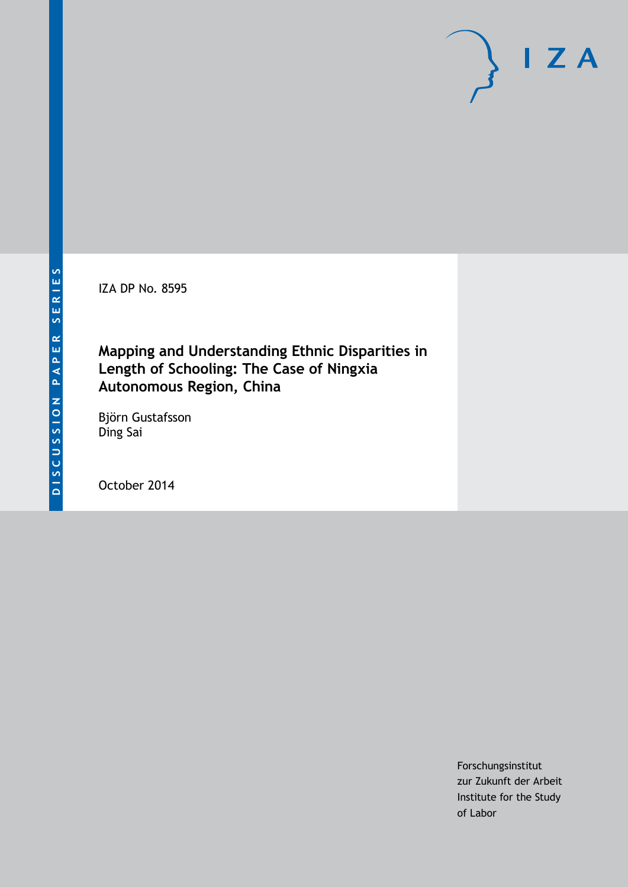IZA DP No. 8595

# **Mapping and Understanding Ethnic Disparities in Length of Schooling: The Case of Ningxia Autonomous Region, China**

Björn Gustafsson Ding Sai

October 2014

Forschungsinstitut zur Zukunft der Arbeit Institute for the Study of Labor

 $I Z A$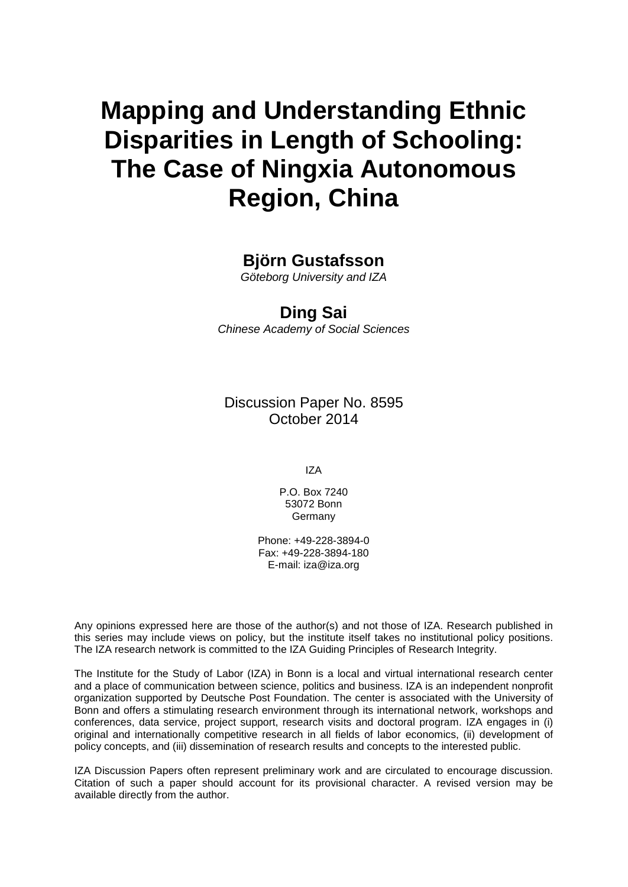# **Mapping and Understanding Ethnic Disparities in Length of Schooling: The Case of Ningxia Autonomous Region, China**

# **Björn Gustafsson**

*Göteborg University and IZA*

# **Ding Sai**

*Chinese Academy of Social Sciences*

Discussion Paper No. 8595 October 2014

IZA

P.O. Box 7240 53072 Bonn Germany

Phone: +49-228-3894-0 Fax: +49-228-3894-180 E-mail: [iza@iza.org](mailto:iza@iza.org)

Any opinions expressed here are those of the author(s) and not those of IZA. Research published in this series may include views on policy, but the institute itself takes no institutional policy positions. The IZA research network is committed to the IZA Guiding Principles of Research Integrity.

The Institute for the Study of Labor (IZA) in Bonn is a local and virtual international research center and a place of communication between science, politics and business. IZA is an independent nonprofit organization supported by Deutsche Post Foundation. The center is associated with the University of Bonn and offers a stimulating research environment through its international network, workshops and conferences, data service, project support, research visits and doctoral program. IZA engages in (i) original and internationally competitive research in all fields of labor economics, (ii) development of policy concepts, and (iii) dissemination of research results and concepts to the interested public.

IZA Discussion Papers often represent preliminary work and are circulated to encourage discussion. Citation of such a paper should account for its provisional character. A revised version may be available directly from the author.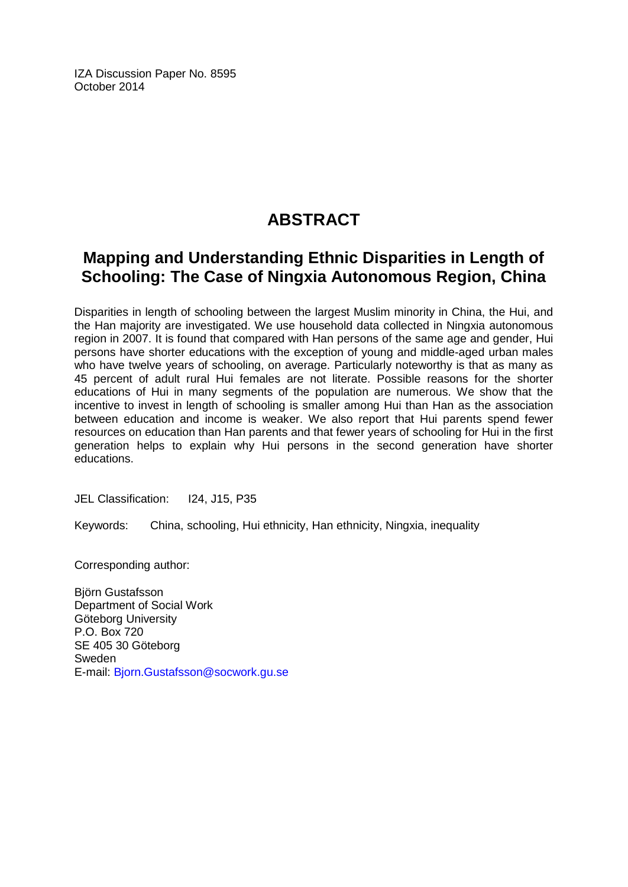IZA Discussion Paper No. 8595 October 2014

# **ABSTRACT**

# **Mapping and Understanding Ethnic Disparities in Length of Schooling: The Case of Ningxia Autonomous Region, China**

Disparities in length of schooling between the largest Muslim minority in China, the Hui, and the Han majority are investigated. We use household data collected in Ningxia autonomous region in 2007. It is found that compared with Han persons of the same age and gender, Hui persons have shorter educations with the exception of young and middle-aged urban males who have twelve years of schooling, on average. Particularly noteworthy is that as many as 45 percent of adult rural Hui females are not literate. Possible reasons for the shorter educations of Hui in many segments of the population are numerous. We show that the incentive to invest in length of schooling is smaller among Hui than Han as the association between education and income is weaker. We also report that Hui parents spend fewer resources on education than Han parents and that fewer years of schooling for Hui in the first generation helps to explain why Hui persons in the second generation have shorter educations.

JEL Classification: I24, J15, P35

Keywords: China, schooling, Hui ethnicity, Han ethnicity, Ningxia, inequality

Corresponding author:

Björn Gustafsson Department of Social Work Göteborg University P.O. Box 720 SE 405 30 Göteborg Sweden E-mail: [Bjorn.Gustafsson@socwork.gu.se](mailto:Bjorn.Gustafsson@socwork.gu.se)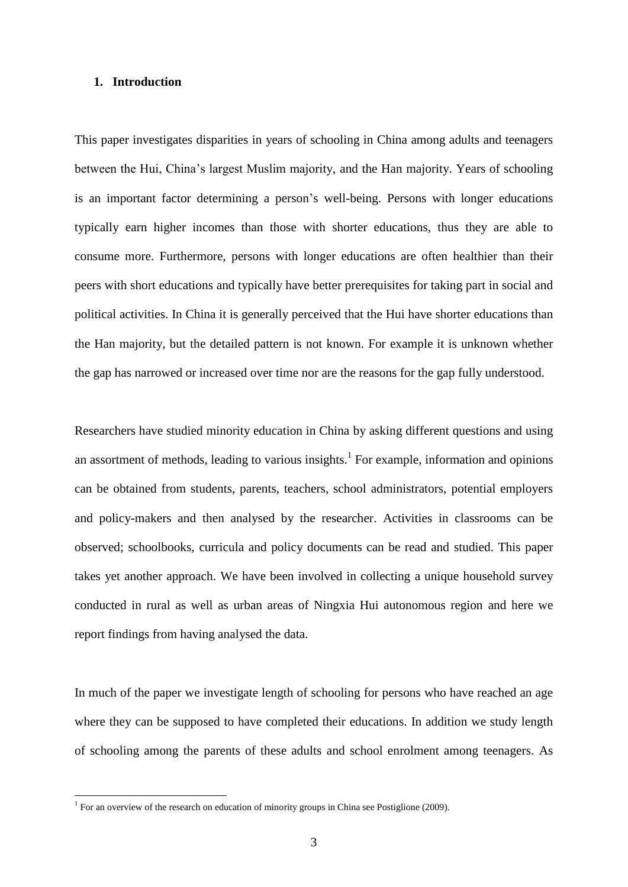#### **1. Introduction**

This paper investigates disparities in years of schooling in China among adults and teenagers between the Hui, China's largest Muslim majority, and the Han majority. Years of schooling is an important factor determining a person's well-being. Persons with longer educations typically earn higher incomes than those with shorter educations, thus they are able to consume more. Furthermore, persons with longer educations are often healthier than their peers with short educations and typically have better prerequisites for taking part in social and political activities. In China it is generally perceived that the Hui have shorter educations than the Han majority, but the detailed pattern is not known. For example it is unknown whether the gap has narrowed or increased over time nor are the reasons for the gap fully understood.

Researchers have studied minority education in China by asking different questions and using an assortment of methods, leading to various insights.<sup>1</sup> For example, information and opinions can be obtained from students, parents, teachers, school administrators, potential employers and policy-makers and then analysed by the researcher. Activities in classrooms can be observed; schoolbooks, curricula and policy documents can be read and studied. This paper takes yet another approach. We have been involved in collecting a unique household survey conducted in rural as well as urban areas of Ningxia Hui autonomous region and here we report findings from having analysed the data.

In much of the paper we investigate length of schooling for persons who have reached an age where they can be supposed to have completed their educations. In addition we study length of schooling among the parents of these adults and school enrolment among teenagers. As

1

<sup>&</sup>lt;sup>1</sup> For an overview of the research on education of minority groups in China see Postiglione (2009).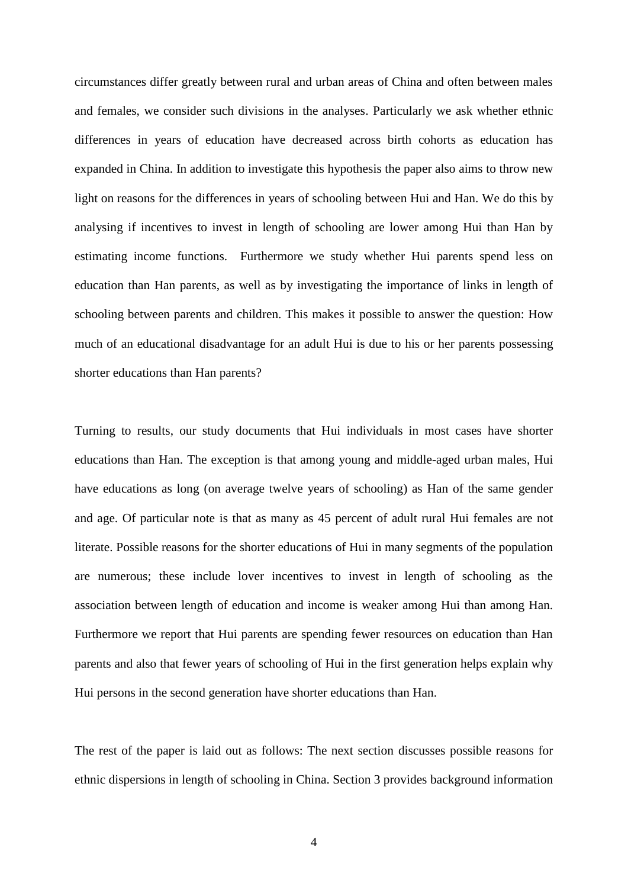circumstances differ greatly between rural and urban areas of China and often between males and females, we consider such divisions in the analyses. Particularly we ask whether ethnic differences in years of education have decreased across birth cohorts as education has expanded in China. In addition to investigate this hypothesis the paper also aims to throw new light on reasons for the differences in years of schooling between Hui and Han. We do this by analysing if incentives to invest in length of schooling are lower among Hui than Han by estimating income functions. Furthermore we study whether Hui parents spend less on education than Han parents, as well as by investigating the importance of links in length of schooling between parents and children. This makes it possible to answer the question: How much of an educational disadvantage for an adult Hui is due to his or her parents possessing shorter educations than Han parents?

Turning to results, our study documents that Hui individuals in most cases have shorter educations than Han. The exception is that among young and middle-aged urban males, Hui have educations as long (on average twelve years of schooling) as Han of the same gender and age. Of particular note is that as many as 45 percent of adult rural Hui females are not literate. Possible reasons for the shorter educations of Hui in many segments of the population are numerous; these include lover incentives to invest in length of schooling as the association between length of education and income is weaker among Hui than among Han. Furthermore we report that Hui parents are spending fewer resources on education than Han parents and also that fewer years of schooling of Hui in the first generation helps explain why Hui persons in the second generation have shorter educations than Han.

The rest of the paper is laid out as follows: The next section discusses possible reasons for ethnic dispersions in length of schooling in China. Section 3 provides background information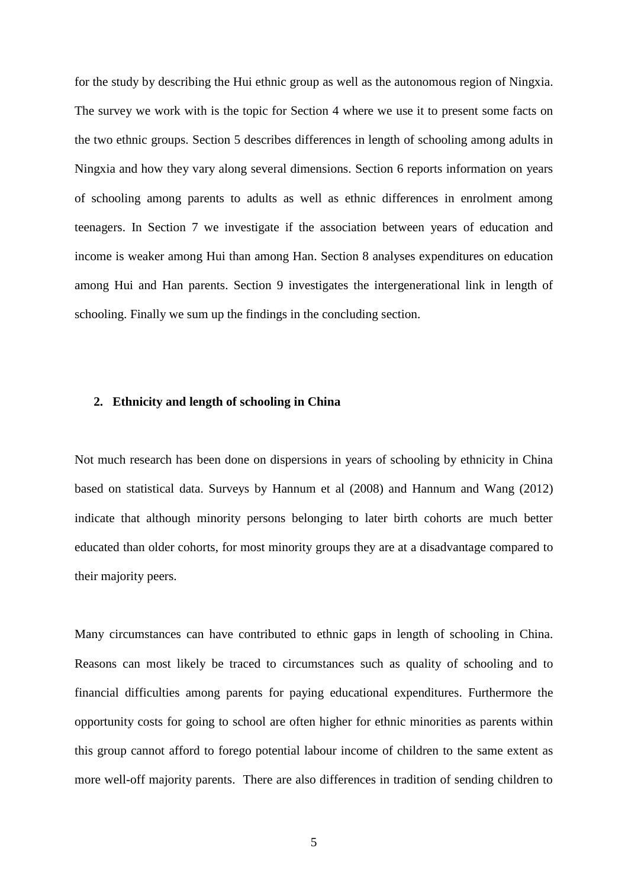for the study by describing the Hui ethnic group as well as the autonomous region of Ningxia. The survey we work with is the topic for Section 4 where we use it to present some facts on the two ethnic groups. Section 5 describes differences in length of schooling among adults in Ningxia and how they vary along several dimensions. Section 6 reports information on years of schooling among parents to adults as well as ethnic differences in enrolment among teenagers. In Section 7 we investigate if the association between years of education and income is weaker among Hui than among Han. Section 8 analyses expenditures on education among Hui and Han parents. Section 9 investigates the intergenerational link in length of schooling. Finally we sum up the findings in the concluding section.

#### **2. Ethnicity and length of schooling in China**

Not much research has been done on dispersions in years of schooling by ethnicity in China based on statistical data. Surveys by Hannum et al (2008) and Hannum and Wang (2012) indicate that although minority persons belonging to later birth cohorts are much better educated than older cohorts, for most minority groups they are at a disadvantage compared to their majority peers.

Many circumstances can have contributed to ethnic gaps in length of schooling in China. Reasons can most likely be traced to circumstances such as quality of schooling and to financial difficulties among parents for paying educational expenditures. Furthermore the opportunity costs for going to school are often higher for ethnic minorities as parents within this group cannot afford to forego potential labour income of children to the same extent as more well-off majority parents. There are also differences in tradition of sending children to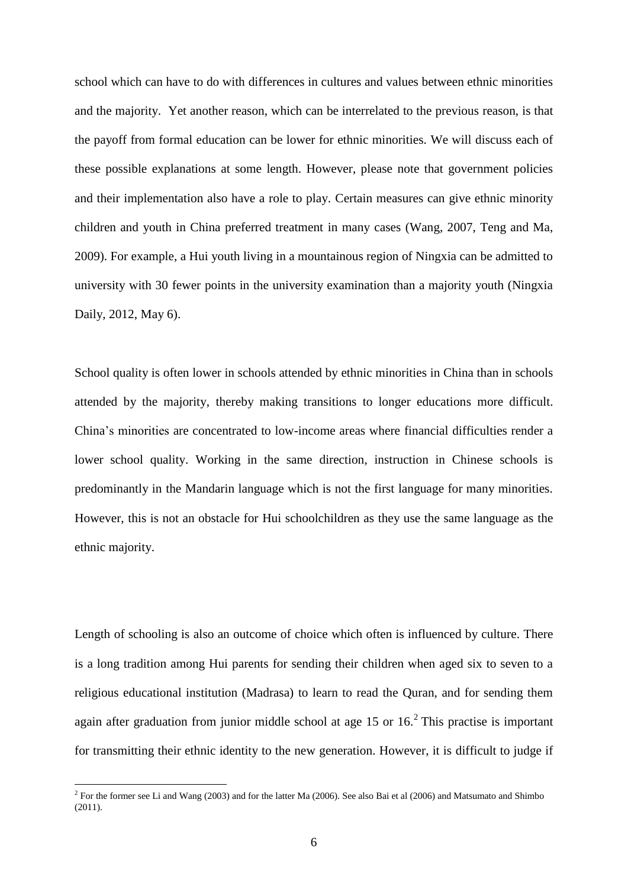school which can have to do with differences in cultures and values between ethnic minorities and the majority. Yet another reason, which can be interrelated to the previous reason, is that the payoff from formal education can be lower for ethnic minorities. We will discuss each of these possible explanations at some length. However, please note that government policies and their implementation also have a role to play. Certain measures can give ethnic minority children and youth in China preferred treatment in many cases (Wang, 2007, Teng and Ma, 2009). For example, a Hui youth living in a mountainous region of Ningxia can be admitted to university with 30 fewer points in the university examination than a majority youth (Ningxia Daily, 2012, May 6).

School quality is often lower in schools attended by ethnic minorities in China than in schools attended by the majority, thereby making transitions to longer educations more difficult. China's minorities are concentrated to low-income areas where financial difficulties render a lower school quality. Working in the same direction, instruction in Chinese schools is predominantly in the Mandarin language which is not the first language for many minorities. However, this is not an obstacle for Hui schoolchildren as they use the same language as the ethnic majority.

Length of schooling is also an outcome of choice which often is influenced by culture. There is a long tradition among Hui parents for sending their children when aged six to seven to a religious educational institution (Madrasa) to learn to read the Quran, and for sending them again after graduation from junior middle school at age 15 or  $16<sup>2</sup>$  This practise is important for transmitting their ethnic identity to the new generation. However, it is difficult to judge if

1

<sup>&</sup>lt;sup>2</sup> For the former see Li and Wang (2003) and for the latter Ma (2006). See also Bai et al (2006) and Matsumato and Shimbo (2011).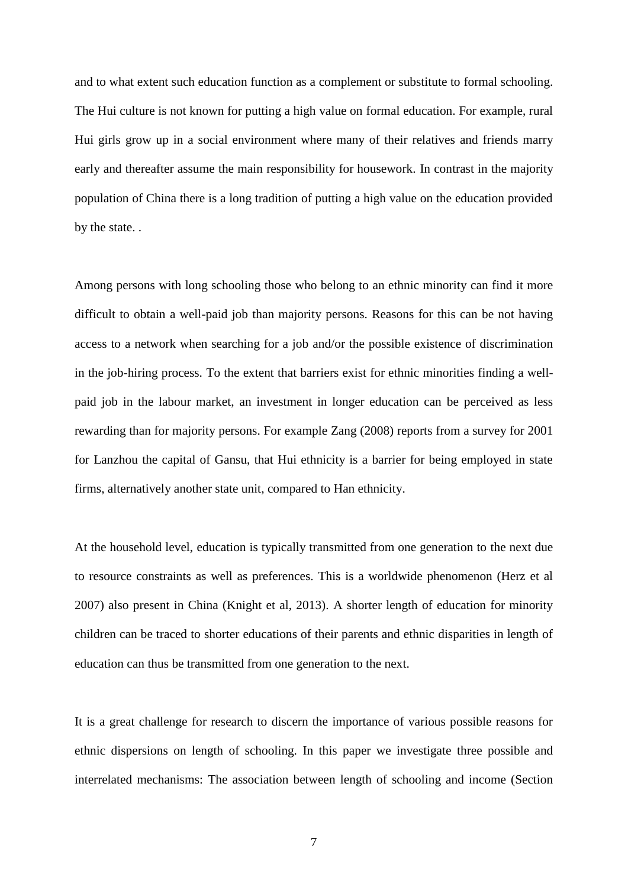and to what extent such education function as a complement or substitute to formal schooling. The Hui culture is not known for putting a high value on formal education. For example, rural Hui girls grow up in a social environment where many of their relatives and friends marry early and thereafter assume the main responsibility for housework. In contrast in the majority population of China there is a long tradition of putting a high value on the education provided by the state. .

Among persons with long schooling those who belong to an ethnic minority can find it more difficult to obtain a well-paid job than majority persons. Reasons for this can be not having access to a network when searching for a job and/or the possible existence of discrimination in the job-hiring process. To the extent that barriers exist for ethnic minorities finding a wellpaid job in the labour market, an investment in longer education can be perceived as less rewarding than for majority persons. For example Zang (2008) reports from a survey for 2001 for Lanzhou the capital of Gansu, that Hui ethnicity is a barrier for being employed in state firms, alternatively another state unit, compared to Han ethnicity.

At the household level, education is typically transmitted from one generation to the next due to resource constraints as well as preferences. This is a worldwide phenomenon (Herz et al 2007) also present in China (Knight et al, 2013). A shorter length of education for minority children can be traced to shorter educations of their parents and ethnic disparities in length of education can thus be transmitted from one generation to the next.

It is a great challenge for research to discern the importance of various possible reasons for ethnic dispersions on length of schooling. In this paper we investigate three possible and interrelated mechanisms: The association between length of schooling and income (Section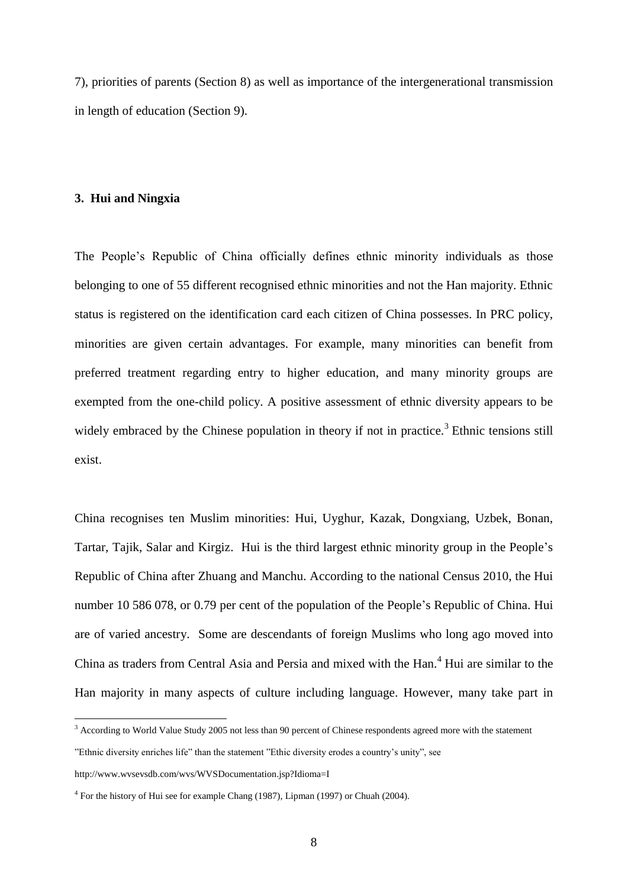7), priorities of parents (Section 8) as well as importance of the intergenerational transmission in length of education (Section 9).

#### **3. Hui and Ningxia**

The People's Republic of China officially defines ethnic minority individuals as those belonging to one of 55 different recognised ethnic minorities and not the Han majority. Ethnic status is registered on the identification card each citizen of China possesses. In PRC policy, minorities are given certain advantages. For example, many minorities can benefit from preferred treatment regarding entry to higher education, and many minority groups are exempted from the one-child policy. A positive assessment of ethnic diversity appears to be widely embraced by the Chinese population in theory if not in practice.<sup>3</sup> Ethnic tensions still exist.

China recognises ten Muslim minorities: Hui, Uyghur, Kazak, Dongxiang, Uzbek, Bonan, Tartar, Tajik, Salar and Kirgiz. Hui is the third largest ethnic minority group in the People's Republic of China after Zhuang and Manchu. According to the national Census 2010, the Hui number 10 586 078, or 0.79 per cent of the population of the People's Republic of China. Hui are of varied ancestry. Some are descendants of foreign Muslims who long ago moved into China as traders from Central Asia and Persia and mixed with the Han.<sup>4</sup> Hui are similar to the Han majority in many aspects of culture including language. However, many take part in

1

<sup>&</sup>lt;sup>3</sup> According to World Value Study 2005 not less than 90 percent of Chinese respondents agreed more with the statement

<sup>&</sup>quot;Ethnic diversity enriches life" than the statement "Ethic diversity erodes a country's unity", see

http://www.wvsevsdb.com/wvs/WVSDocumentation.jsp?Idioma=I

<sup>&</sup>lt;sup>4</sup> For the history of Hui see for example Chang (1987), Lipman (1997) or Chuah (2004).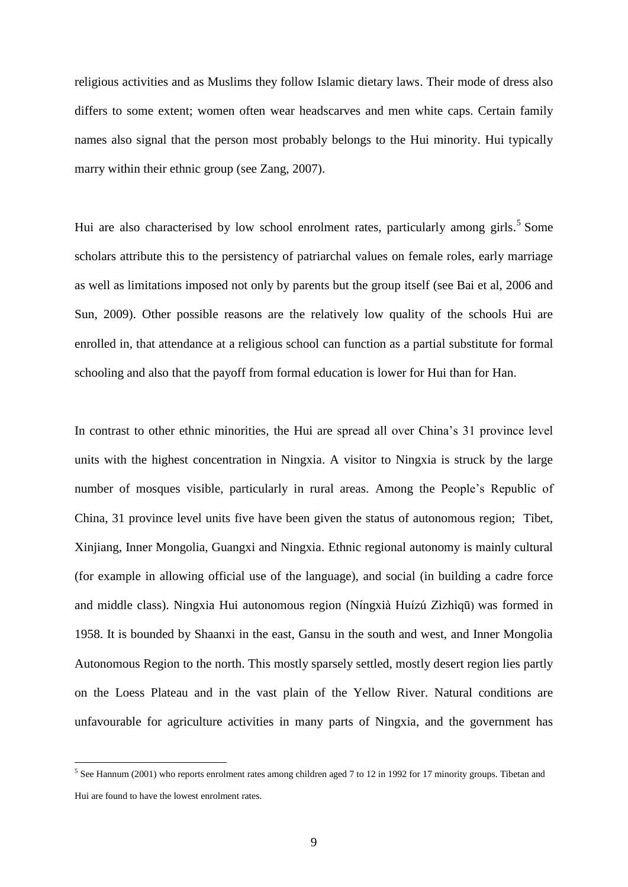religious activities and as Muslims they follow Islamic dietary laws. Their mode of dress also differs to some extent; women often wear headscarves and men white caps. Certain family names also signal that the person most probably belongs to the Hui minority. Hui typically marry within their ethnic group (see Zang, 2007).

Hui are also characterised by low school enrolment rates, particularly among girls.<sup>5</sup> Some scholars attribute this to the persistency of patriarchal values on female roles, early marriage as well as limitations imposed not only by parents but the group itself (see Bai et al, 2006 and Sun, 2009). Other possible reasons are the relatively low quality of the schools Hui are enrolled in, that attendance at a religious school can function as a partial substitute for formal schooling and also that the payoff from formal education is lower for Hui than for Han.

In contrast to other ethnic minorities, the Hui are spread all over China's 31 province level units with the highest concentration in Ningxia. A visitor to Ningxia is struck by the large number of mosques visible, particularly in rural areas. Among the People's Republic of China, 31 province level units five have been given the status of autonomous region; Tibet, Xinjiang, Inner Mongolia, Guangxi and Ningxia. Ethnic regional autonomy is mainly cultural (for example in allowing official use of the language), and social (in building a cadre force and middle class). Ningxia Hui autonomous region (Níngxià Huízú Zìzhìqū) was formed in 1958. It is bounded by Shaanxi in the east, Gansu in the south and west, and Inner Mongolia Autonomous Region to the north. This mostly sparsely settled, mostly desert region lies partly on the Loess Plateau and in the vast plain of the Yellow River. Natural conditions are unfavourable for agriculture activities in many parts of Ningxia, and the government has

1

<sup>&</sup>lt;sup>5</sup> See Hannum (2001) who reports enrolment rates among children aged 7 to 12 in 1992 for 17 minority groups. Tibetan and Hui are found to have the lowest enrolment rates.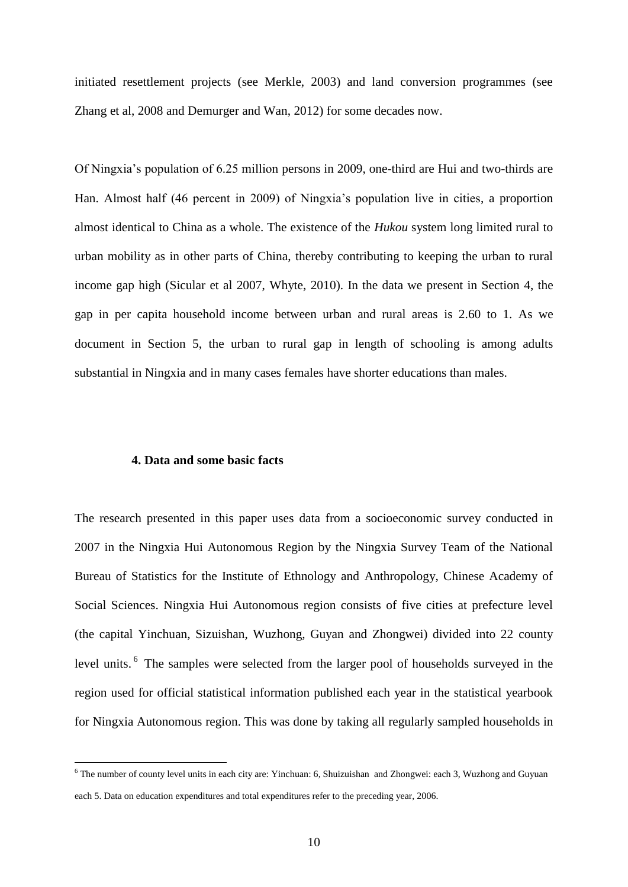initiated resettlement projects (see Merkle, 2003) and land conversion programmes (see Zhang et al, 2008 and Demurger and Wan, 2012) for some decades now.

Of Ningxia's population of 6.25 million persons in 2009, one-third are Hui and two-thirds are Han. Almost half (46 percent in 2009) of Ningxia's population live in cities, a proportion almost identical to China as a whole. The existence of the *Hukou* system long limited rural to urban mobility as in other parts of China, thereby contributing to keeping the urban to rural income gap high (Sicular et al 2007, Whyte, 2010). In the data we present in Section 4, the gap in per capita household income between urban and rural areas is 2.60 to 1. As we document in Section 5, the urban to rural gap in length of schooling is among adults substantial in Ningxia and in many cases females have shorter educations than males.

#### **4. Data and some basic facts**

1

The research presented in this paper uses data from a socioeconomic survey conducted in 2007 in the Ningxia Hui Autonomous Region by the Ningxia Survey Team of the National Bureau of Statistics for the Institute of Ethnology and Anthropology, Chinese Academy of Social Sciences. Ningxia Hui Autonomous region consists of five cities at prefecture level (the capital Yinchuan, Sizuishan, Wuzhong, Guyan and Zhongwei) divided into 22 county level units.<sup>6</sup> The samples were selected from the larger pool of households surveyed in the region used for official statistical information published each year in the statistical yearbook for Ningxia Autonomous region. This was done by taking all regularly sampled households in

<sup>6</sup> The number of county level units in each city are: Yinchuan: 6, Shuizuishan and Zhongwei: each 3, Wuzhong and Guyuan each 5. Data on education expenditures and total expenditures refer to the preceding year, 2006.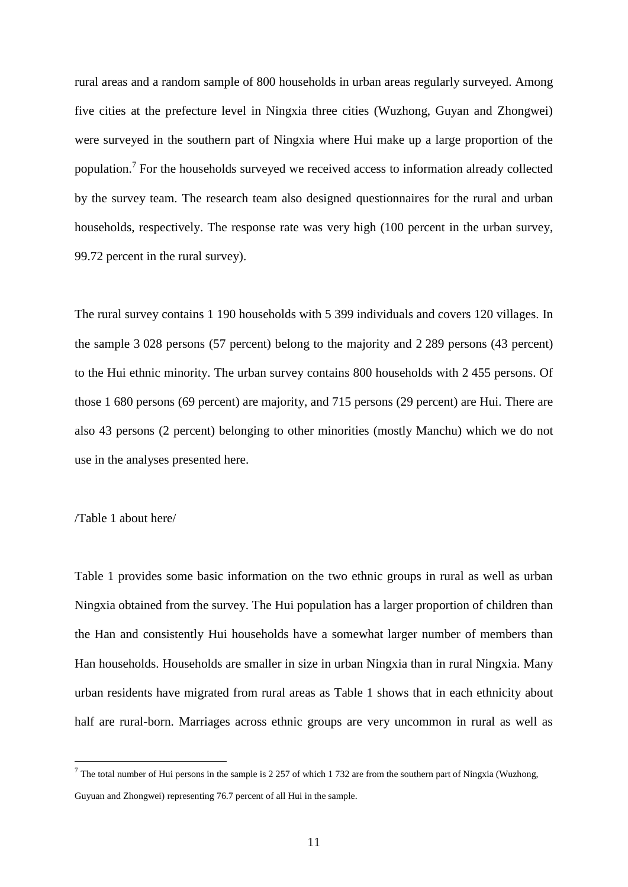rural areas and a random sample of 800 households in urban areas regularly surveyed. Among five cities at the prefecture level in Ningxia three cities (Wuzhong, Guyan and Zhongwei) were surveyed in the southern part of Ningxia where Hui make up a large proportion of the population.<sup>7</sup> For the households surveyed we received access to information already collected by the survey team. The research team also designed questionnaires for the rural and urban households, respectively. The response rate was very high (100 percent in the urban survey, 99.72 percent in the rural survey).

The rural survey contains 1 190 households with 5 399 individuals and covers 120 villages. In the sample 3 028 persons (57 percent) belong to the majority and 2 289 persons (43 percent) to the Hui ethnic minority. The urban survey contains 800 households with 2 455 persons. Of those 1 680 persons (69 percent) are majority, and 715 persons (29 percent) are Hui. There are also 43 persons (2 percent) belonging to other minorities (mostly Manchu) which we do not use in the analyses presented here.

#### /Table 1 about here/

<u>.</u>

Table 1 provides some basic information on the two ethnic groups in rural as well as urban Ningxia obtained from the survey. The Hui population has a larger proportion of children than the Han and consistently Hui households have a somewhat larger number of members than Han households. Households are smaller in size in urban Ningxia than in rural Ningxia. Many urban residents have migrated from rural areas as Table 1 shows that in each ethnicity about half are rural-born. Marriages across ethnic groups are very uncommon in rural as well as

<sup>&</sup>lt;sup>7</sup> The total number of Hui persons in the sample is 2 257 of which 1 732 are from the southern part of Ningxia (Wuzhong, Guyuan and Zhongwei) representing 76.7 percent of all Hui in the sample.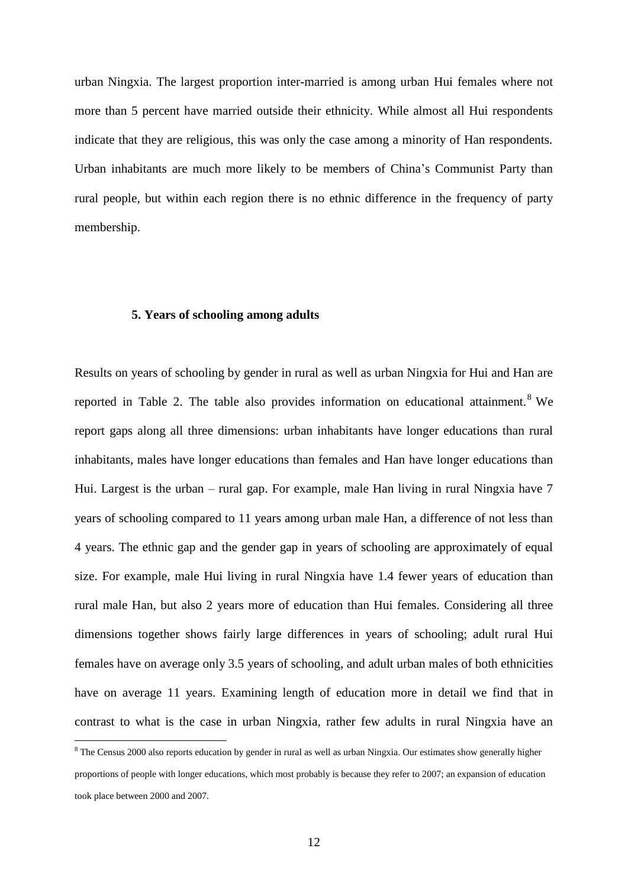urban Ningxia. The largest proportion inter-married is among urban Hui females where not more than 5 percent have married outside their ethnicity. While almost all Hui respondents indicate that they are religious, this was only the case among a minority of Han respondents. Urban inhabitants are much more likely to be members of China's Communist Party than rural people, but within each region there is no ethnic difference in the frequency of party membership.

#### **5. Years of schooling among adults**

1

Results on years of schooling by gender in rural as well as urban Ningxia for Hui and Han are reported in Table 2. The table also provides information on educational attainment.<sup>8</sup> We report gaps along all three dimensions: urban inhabitants have longer educations than rural inhabitants, males have longer educations than females and Han have longer educations than Hui. Largest is the urban – rural gap. For example, male Han living in rural Ningxia have 7 years of schooling compared to 11 years among urban male Han, a difference of not less than 4 years. The ethnic gap and the gender gap in years of schooling are approximately of equal size. For example, male Hui living in rural Ningxia have 1.4 fewer years of education than rural male Han, but also 2 years more of education than Hui females. Considering all three dimensions together shows fairly large differences in years of schooling; adult rural Hui females have on average only 3.5 years of schooling, and adult urban males of both ethnicities have on average 11 years. Examining length of education more in detail we find that in contrast to what is the case in urban Ningxia, rather few adults in rural Ningxia have an

<sup>&</sup>lt;sup>8</sup> The Census 2000 also reports education by gender in rural as well as urban Ningxia. Our estimates show generally higher proportions of people with longer educations, which most probably is because they refer to 2007; an expansion of education took place between 2000 and 2007.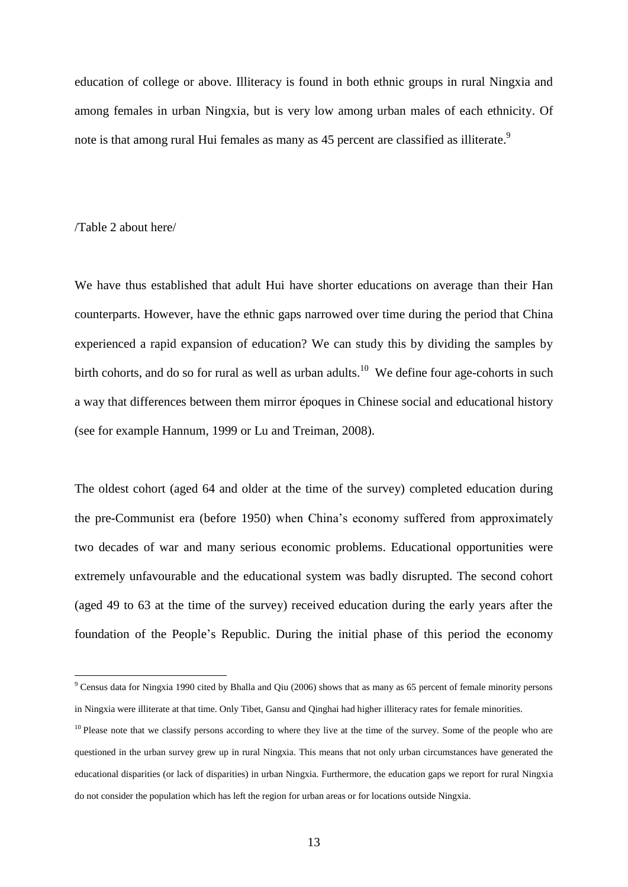education of college or above. Illiteracy is found in both ethnic groups in rural Ningxia and among females in urban Ningxia, but is very low among urban males of each ethnicity. Of note is that among rural Hui females as many as 45 percent are classified as illiterate.<sup>9</sup>

/Table 2 about here/

1

We have thus established that adult Hui have shorter educations on average than their Han counterparts. However, have the ethnic gaps narrowed over time during the period that China experienced a rapid expansion of education? We can study this by dividing the samples by birth cohorts, and do so for rural as well as urban adults.<sup>10</sup> We define four age-cohorts in such a way that differences between them mirror époques in Chinese social and educational history (see for example Hannum, 1999 or Lu and Treiman, 2008).

The oldest cohort (aged 64 and older at the time of the survey) completed education during the pre-Communist era (before 1950) when China's economy suffered from approximately two decades of war and many serious economic problems. Educational opportunities were extremely unfavourable and the educational system was badly disrupted. The second cohort (aged 49 to 63 at the time of the survey) received education during the early years after the foundation of the People's Republic. During the initial phase of this period the economy

<sup>9</sup> Census data for Ningxia 1990 cited by Bhalla and Qiu (2006) shows that as many as 65 percent of female minority persons in Ningxia were illiterate at that time. Only Tibet, Gansu and Qinghai had higher illiteracy rates for female minorities.

 $10$  Please note that we classify persons according to where they live at the time of the survey. Some of the people who are questioned in the urban survey grew up in rural Ningxia. This means that not only urban circumstances have generated the educational disparities (or lack of disparities) in urban Ningxia. Furthermore, the education gaps we report for rural Ningxia do not consider the population which has left the region for urban areas or for locations outside Ningxia.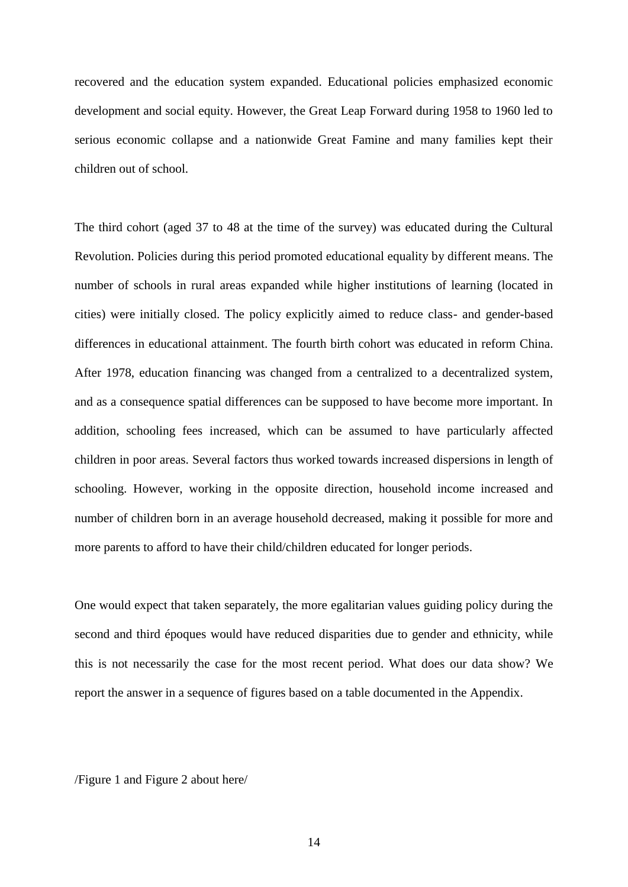recovered and the education system expanded. Educational policies emphasized economic development and social equity. However, the Great Leap Forward during 1958 to 1960 led to serious economic collapse and a nationwide Great Famine and many families kept their children out of school.

The third cohort (aged 37 to 48 at the time of the survey) was educated during the Cultural Revolution. Policies during this period promoted educational equality by different means. The number of schools in rural areas expanded while higher institutions of learning (located in cities) were initially closed. The policy explicitly aimed to reduce class- and gender-based differences in educational attainment. The fourth birth cohort was educated in reform China. After 1978, education financing was changed from a centralized to a decentralized system, and as a consequence spatial differences can be supposed to have become more important. In addition, schooling fees increased, which can be assumed to have particularly affected children in poor areas. Several factors thus worked towards increased dispersions in length of schooling. However, working in the opposite direction, household income increased and number of children born in an average household decreased, making it possible for more and more parents to afford to have their child/children educated for longer periods.

One would expect that taken separately, the more egalitarian values guiding policy during the second and third époques would have reduced disparities due to gender and ethnicity, while this is not necessarily the case for the most recent period. What does our data show? We report the answer in a sequence of figures based on a table documented in the Appendix.

/Figure 1 and Figure 2 about here/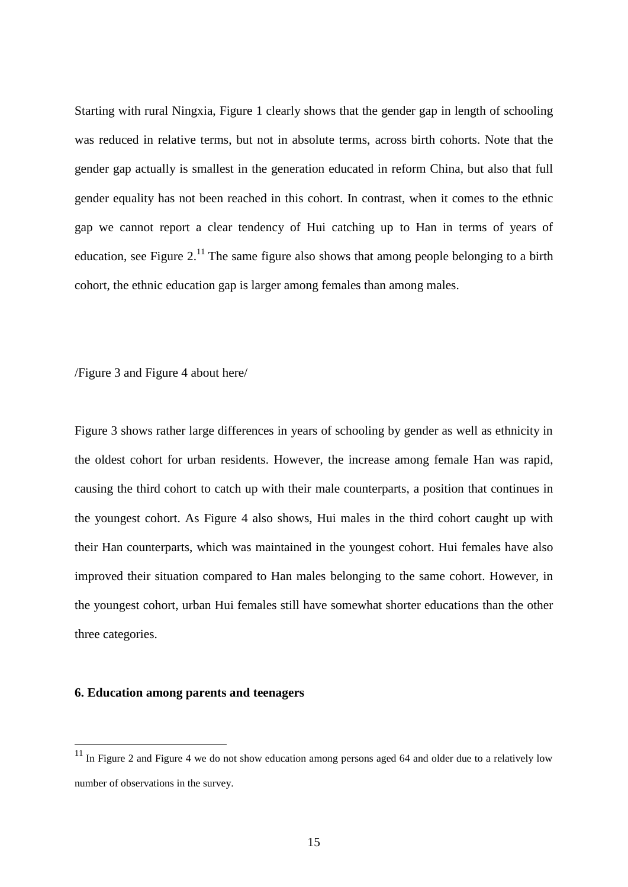Starting with rural Ningxia, Figure 1 clearly shows that the gender gap in length of schooling was reduced in relative terms, but not in absolute terms, across birth cohorts. Note that the gender gap actually is smallest in the generation educated in reform China, but also that full gender equality has not been reached in this cohort. In contrast, when it comes to the ethnic gap we cannot report a clear tendency of Hui catching up to Han in terms of years of education, see Figure 2.<sup>11</sup> The same figure also shows that among people belonging to a birth cohort, the ethnic education gap is larger among females than among males.

/Figure 3 and Figure 4 about here/

Figure 3 shows rather large differences in years of schooling by gender as well as ethnicity in the oldest cohort for urban residents. However, the increase among female Han was rapid, causing the third cohort to catch up with their male counterparts, a position that continues in the youngest cohort. As Figure 4 also shows, Hui males in the third cohort caught up with their Han counterparts, which was maintained in the youngest cohort. Hui females have also improved their situation compared to Han males belonging to the same cohort. However, in the youngest cohort, urban Hui females still have somewhat shorter educations than the other three categories.

#### **6. Education among parents and teenagers**

<u>.</u>

 $11$  In Figure 2 and Figure 4 we do not show education among persons aged 64 and older due to a relatively low number of observations in the survey.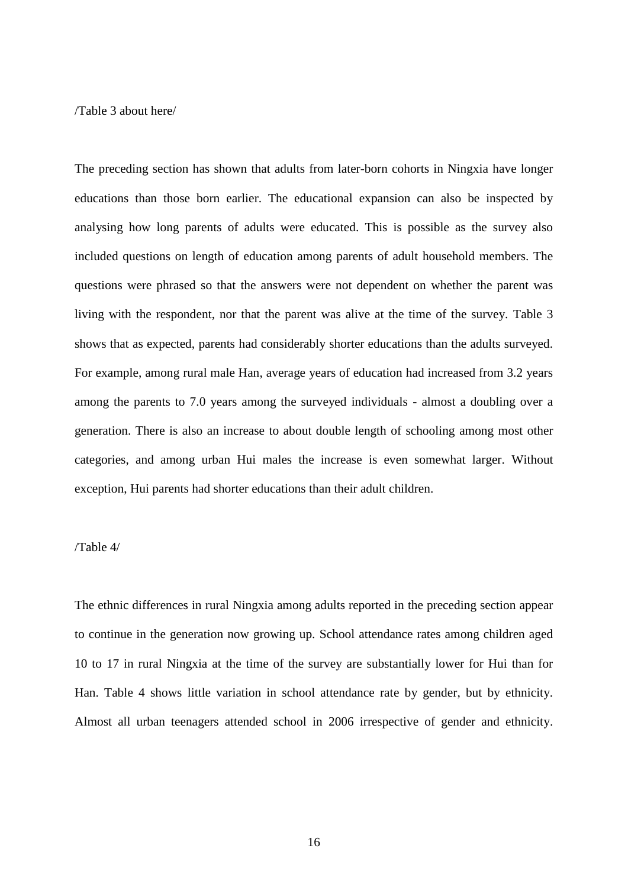/Table 3 about here/

The preceding section has shown that adults from later-born cohorts in Ningxia have longer educations than those born earlier. The educational expansion can also be inspected by analysing how long parents of adults were educated. This is possible as the survey also included questions on length of education among parents of adult household members. The questions were phrased so that the answers were not dependent on whether the parent was living with the respondent, nor that the parent was alive at the time of the survey. Table 3 shows that as expected, parents had considerably shorter educations than the adults surveyed. For example, among rural male Han, average years of education had increased from 3.2 years among the parents to 7.0 years among the surveyed individuals - almost a doubling over a generation. There is also an increase to about double length of schooling among most other categories, and among urban Hui males the increase is even somewhat larger. Without exception, Hui parents had shorter educations than their adult children.

#### /Table 4/

The ethnic differences in rural Ningxia among adults reported in the preceding section appear to continue in the generation now growing up. School attendance rates among children aged 10 to 17 in rural Ningxia at the time of the survey are substantially lower for Hui than for Han. Table 4 shows little variation in school attendance rate by gender, but by ethnicity. Almost all urban teenagers attended school in 2006 irrespective of gender and ethnicity.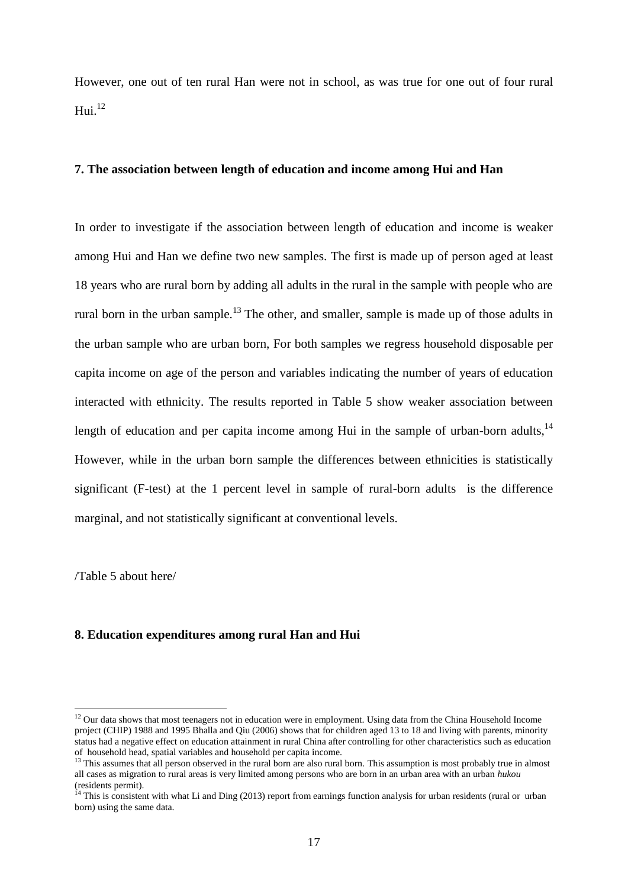However, one out of ten rural Han were not in school, as was true for one out of four rural Hui. $12$ 

#### **7. The association between length of education and income among Hui and Han**

In order to investigate if the association between length of education and income is weaker among Hui and Han we define two new samples. The first is made up of person aged at least 18 years who are rural born by adding all adults in the rural in the sample with people who are rural born in the urban sample.<sup>13</sup> The other, and smaller, sample is made up of those adults in the urban sample who are urban born, For both samples we regress household disposable per capita income on age of the person and variables indicating the number of years of education interacted with ethnicity. The results reported in Table 5 show weaker association between length of education and per capita income among Hui in the sample of urban-born adults, $14$ However, while in the urban born sample the differences between ethnicities is statistically significant (F-test) at the 1 percent level in sample of rural-born adults is the difference marginal, and not statistically significant at conventional levels.

/Table 5 about here/

1

#### **8. Education expenditures among rural Han and Hui**

 $12$  Our data shows that most teenagers not in education were in employment. Using data from the China Household Income project (CHIP) 1988 and 1995 Bhalla and Qiu (2006) shows that for children aged 13 to 18 and living with parents, minority status had a negative effect on education attainment in rural China after controlling for other characteristics such as education of household head, spatial variables and household per capita income.

 $13$  This assumes that all person observed in the rural born are also rural born. This assumption is most probably true in almost all cases as migration to rural areas is very limited among persons who are born in an urban area with an urban *hukou* (residents permit).

<sup>&</sup>lt;sup>14</sup> This is consistent with what Li and Ding (2013) report from earnings function analysis for urban residents (rural or urban born) using the same data.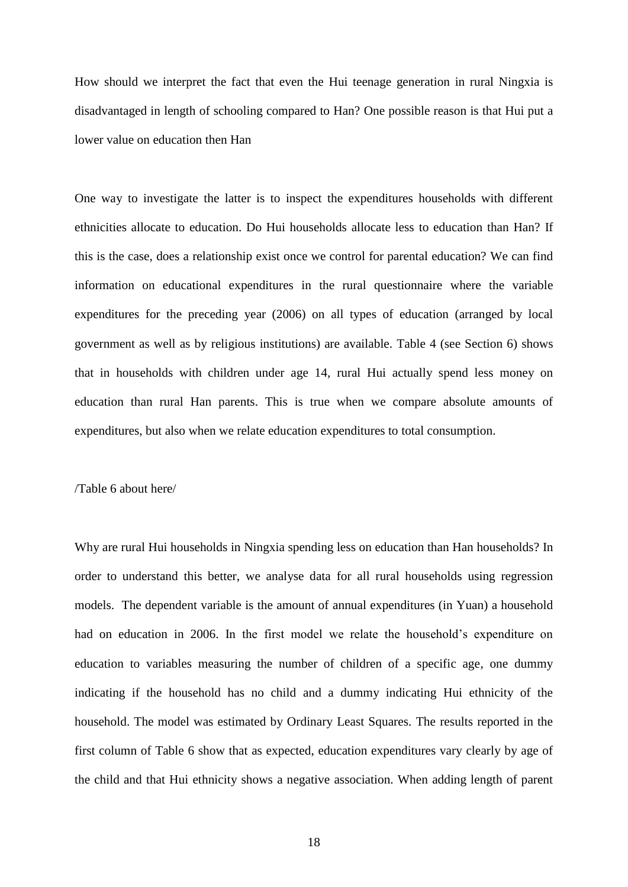How should we interpret the fact that even the Hui teenage generation in rural Ningxia is disadvantaged in length of schooling compared to Han? One possible reason is that Hui put a lower value on education then Han

One way to investigate the latter is to inspect the expenditures households with different ethnicities allocate to education. Do Hui households allocate less to education than Han? If this is the case, does a relationship exist once we control for parental education? We can find information on educational expenditures in the rural questionnaire where the variable expenditures for the preceding year (2006) on all types of education (arranged by local government as well as by religious institutions) are available. Table 4 (see Section 6) shows that in households with children under age 14, rural Hui actually spend less money on education than rural Han parents. This is true when we compare absolute amounts of expenditures, but also when we relate education expenditures to total consumption.

#### /Table 6 about here/

Why are rural Hui households in Ningxia spending less on education than Han households? In order to understand this better, we analyse data for all rural households using regression models. The dependent variable is the amount of annual expenditures (in Yuan) a household had on education in 2006. In the first model we relate the household's expenditure on education to variables measuring the number of children of a specific age, one dummy indicating if the household has no child and a dummy indicating Hui ethnicity of the household. The model was estimated by Ordinary Least Squares. The results reported in the first column of Table 6 show that as expected, education expenditures vary clearly by age of the child and that Hui ethnicity shows a negative association. When adding length of parent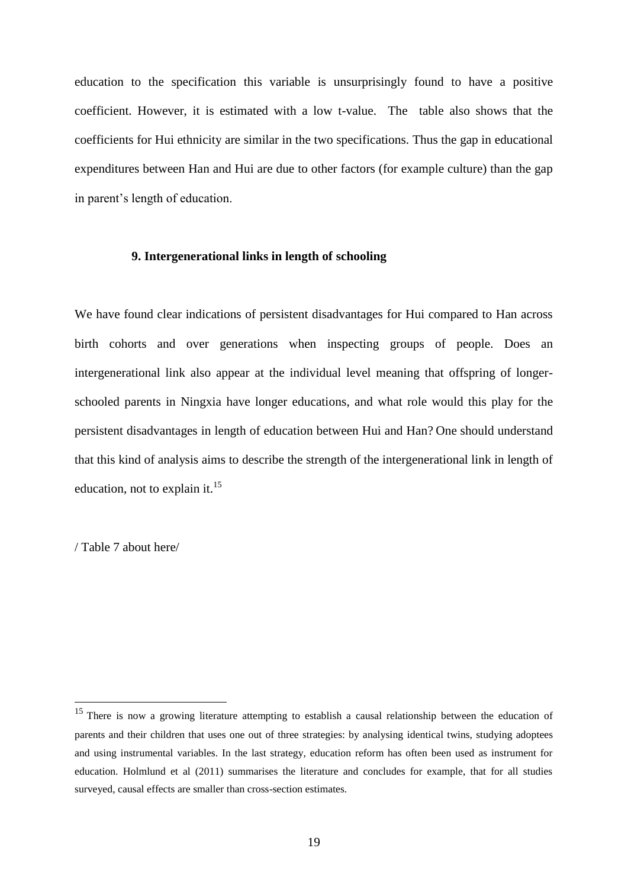education to the specification this variable is unsurprisingly found to have a positive coefficient. However, it is estimated with a low t-value. The table also shows that the coefficients for Hui ethnicity are similar in the two specifications. Thus the gap in educational expenditures between Han and Hui are due to other factors (for example culture) than the gap in parent's length of education.

#### **9. Intergenerational links in length of schooling**

We have found clear indications of persistent disadvantages for Hui compared to Han across birth cohorts and over generations when inspecting groups of people. Does an intergenerational link also appear at the individual level meaning that offspring of longerschooled parents in Ningxia have longer educations, and what role would this play for the persistent disadvantages in length of education between Hui and Han? One should understand that this kind of analysis aims to describe the strength of the intergenerational link in length of education, not to explain it. $^{15}$ 

/ Table 7 about here/

1

<sup>&</sup>lt;sup>15</sup> There is now a growing literature attempting to establish a causal relationship between the education of parents and their children that uses one out of three strategies: by analysing identical twins, studying adoptees and using instrumental variables. In the last strategy, education reform has often been used as instrument for education. Holmlund et al (2011) summarises the literature and concludes for example, that for all studies surveyed, causal effects are smaller than cross-section estimates.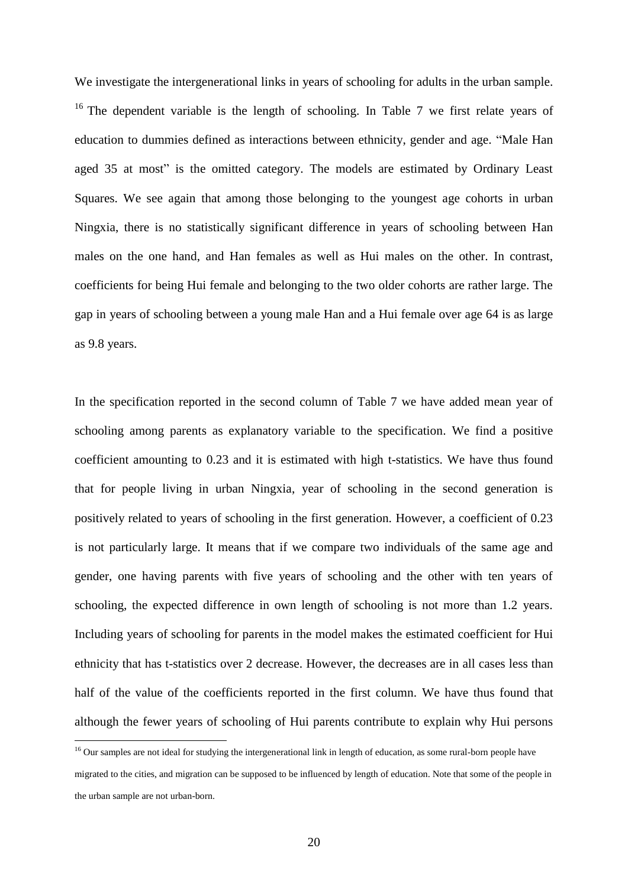We investigate the intergenerational links in years of schooling for adults in the urban sample. <sup>16</sup> The dependent variable is the length of schooling. In Table 7 we first relate years of education to dummies defined as interactions between ethnicity, gender and age. "Male Han aged 35 at most" is the omitted category. The models are estimated by Ordinary Least Squares. We see again that among those belonging to the youngest age cohorts in urban Ningxia, there is no statistically significant difference in years of schooling between Han males on the one hand, and Han females as well as Hui males on the other. In contrast, coefficients for being Hui female and belonging to the two older cohorts are rather large. The gap in years of schooling between a young male Han and a Hui female over age 64 is as large as 9.8 years.

In the specification reported in the second column of Table 7 we have added mean year of schooling among parents as explanatory variable to the specification. We find a positive coefficient amounting to 0.23 and it is estimated with high t-statistics. We have thus found that for people living in urban Ningxia, year of schooling in the second generation is positively related to years of schooling in the first generation. However, a coefficient of 0.23 is not particularly large. It means that if we compare two individuals of the same age and gender, one having parents with five years of schooling and the other with ten years of schooling, the expected difference in own length of schooling is not more than 1.2 years. Including years of schooling for parents in the model makes the estimated coefficient for Hui ethnicity that has t-statistics over 2 decrease. However, the decreases are in all cases less than half of the value of the coefficients reported in the first column. We have thus found that although the fewer years of schooling of Hui parents contribute to explain why Hui persons

1

<sup>&</sup>lt;sup>16</sup> Our samples are not ideal for studying the intergenerational link in length of education, as some rural-born people have migrated to the cities, and migration can be supposed to be influenced by length of education. Note that some of the people in the urban sample are not urban-born.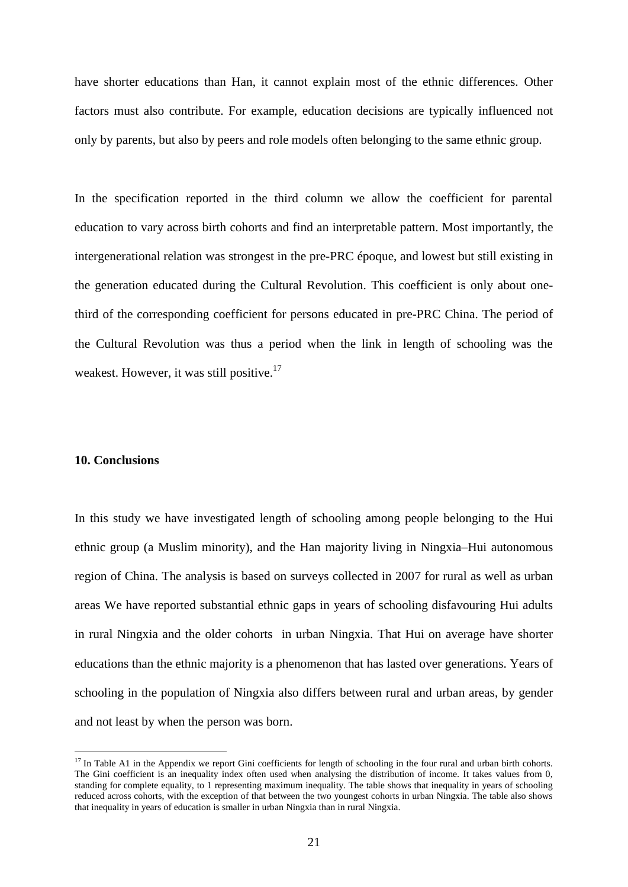have shorter educations than Han, it cannot explain most of the ethnic differences. Other factors must also contribute. For example, education decisions are typically influenced not only by parents, but also by peers and role models often belonging to the same ethnic group.

In the specification reported in the third column we allow the coefficient for parental education to vary across birth cohorts and find an interpretable pattern. Most importantly, the intergenerational relation was strongest in the pre-PRC époque, and lowest but still existing in the generation educated during the Cultural Revolution. This coefficient is only about onethird of the corresponding coefficient for persons educated in pre-PRC China. The period of the Cultural Revolution was thus a period when the link in length of schooling was the weakest. However, it was still positive.<sup>17</sup>

#### **10. Conclusions**

1

In this study we have investigated length of schooling among people belonging to the Hui ethnic group (a Muslim minority), and the Han majority living in Ningxia–Hui autonomous region of China. The analysis is based on surveys collected in 2007 for rural as well as urban areas We have reported substantial ethnic gaps in years of schooling disfavouring Hui adults in rural Ningxia and the older cohorts in urban Ningxia. That Hui on average have shorter educations than the ethnic majority is a phenomenon that has lasted over generations. Years of schooling in the population of Ningxia also differs between rural and urban areas, by gender and not least by when the person was born.

 $17$  In Table A1 in the Appendix we report Gini coefficients for length of schooling in the four rural and urban birth cohorts. The Gini coefficient is an inequality index often used when analysing the distribution of income. It takes values from 0, standing for complete equality, to 1 representing maximum inequality. The table shows that inequality in years of schooling reduced across cohorts, with the exception of that between the two youngest cohorts in urban Ningxia. The table also shows that inequality in years of education is smaller in urban Ningxia than in rural Ningxia.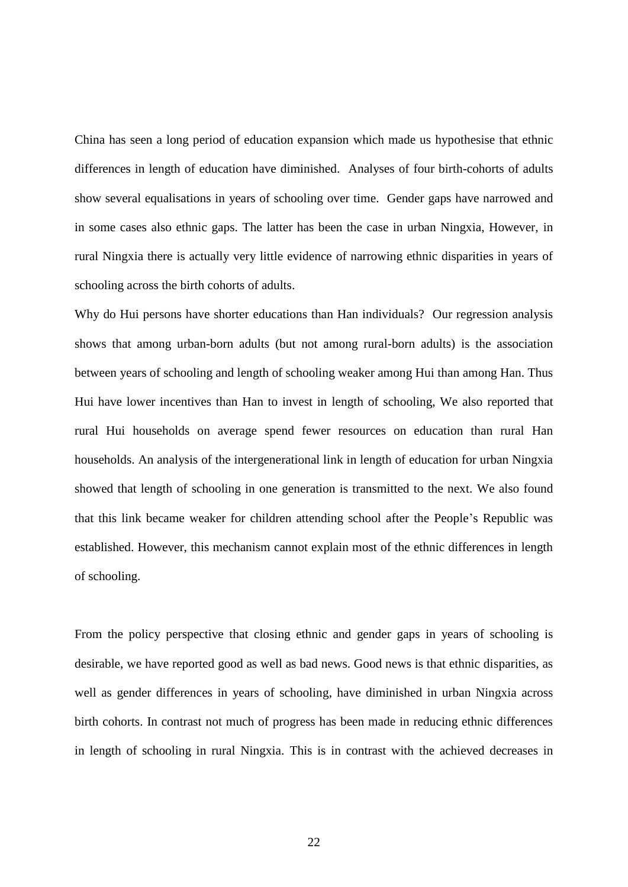China has seen a long period of education expansion which made us hypothesise that ethnic differences in length of education have diminished. Analyses of four birth-cohorts of adults show several equalisations in years of schooling over time. Gender gaps have narrowed and in some cases also ethnic gaps. The latter has been the case in urban Ningxia, However, in rural Ningxia there is actually very little evidence of narrowing ethnic disparities in years of schooling across the birth cohorts of adults.

Why do Hui persons have shorter educations than Han individuals? Our regression analysis shows that among urban-born adults (but not among rural-born adults) is the association between years of schooling and length of schooling weaker among Hui than among Han. Thus Hui have lower incentives than Han to invest in length of schooling, We also reported that rural Hui households on average spend fewer resources on education than rural Han households. An analysis of the intergenerational link in length of education for urban Ningxia showed that length of schooling in one generation is transmitted to the next. We also found that this link became weaker for children attending school after the People's Republic was established. However, this mechanism cannot explain most of the ethnic differences in length of schooling.

From the policy perspective that closing ethnic and gender gaps in years of schooling is desirable, we have reported good as well as bad news. Good news is that ethnic disparities, as well as gender differences in years of schooling, have diminished in urban Ningxia across birth cohorts. In contrast not much of progress has been made in reducing ethnic differences in length of schooling in rural Ningxia. This is in contrast with the achieved decreases in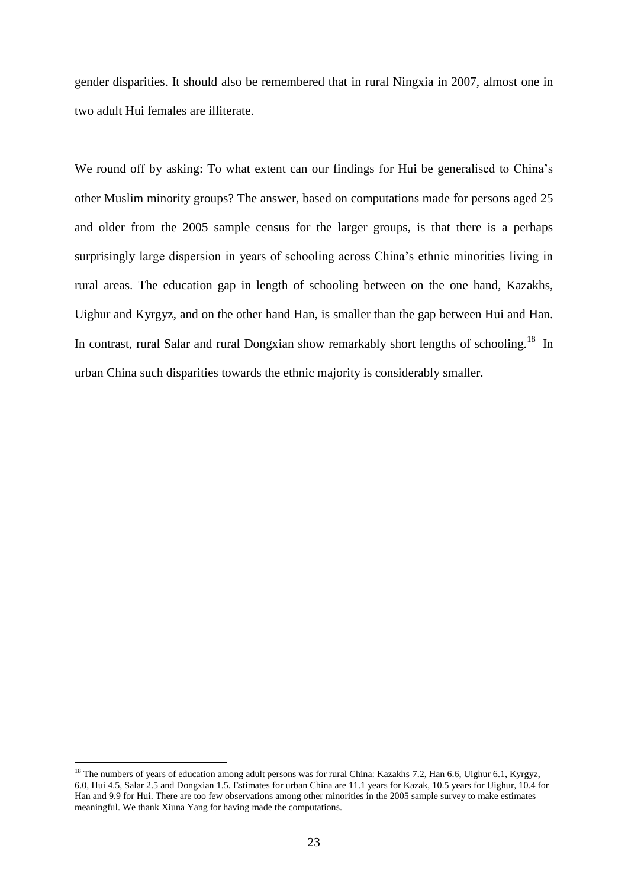gender disparities. It should also be remembered that in rural Ningxia in 2007, almost one in two adult Hui females are illiterate.

We round off by asking: To what extent can our findings for Hui be generalised to China's other Muslim minority groups? The answer, based on computations made for persons aged 25 and older from the 2005 sample census for the larger groups, is that there is a perhaps surprisingly large dispersion in years of schooling across China's ethnic minorities living in rural areas. The education gap in length of schooling between on the one hand, Kazakhs, Uighur and Kyrgyz, and on the other hand Han, is smaller than the gap between Hui and Han. In contrast, rural Salar and rural Dongxian show remarkably short lengths of schooling.<sup>18</sup> In urban China such disparities towards the ethnic majority is considerably smaller.

1

<sup>&</sup>lt;sup>18</sup> The numbers of years of education among adult persons was for rural China: Kazakhs 7.2, Han 6.6, Uighur 6.1, Kyrgyz, 6.0, Hui 4.5, Salar 2.5 and Dongxian 1.5. Estimates for urban China are 11.1 years for Kazak, 10.5 years for Uighur, 10.4 for Han and 9.9 for Hui. There are too few observations among other minorities in the 2005 sample survey to make estimates meaningful. We thank Xiuna Yang for having made the computations.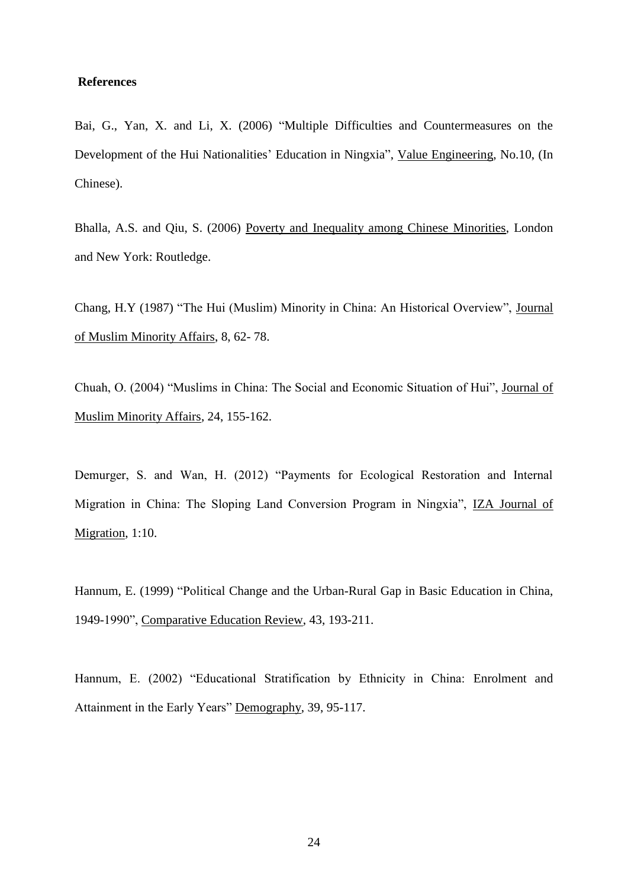#### **References**

Bai, G., Yan, X. and Li, X. (2006) "Multiple Difficulties and Countermeasures on the Development of the Hui Nationalities' Education in Ningxia", Value Engineering, No.10, (In Chinese).

Bhalla, A.S. and Qiu, S. (2006) Poverty and Inequality among Chinese Minorities, London and New York: Routledge.

Chang, H.Y (1987) "The Hui (Muslim) Minority in China: An Historical Overview", Journal of Muslim Minority Affairs, 8, 62- 78.

Chuah, O. (2004) "Muslims in China: The Social and Economic Situation of Hui", Journal of Muslim Minority Affairs, 24, 155-162.

Demurger, S. and Wan, H. (2012) "Payments for Ecological Restoration and Internal Migration in China: The Sloping Land Conversion Program in Ningxia", IZA Journal of Migration, 1:10.

Hannum, E. (1999) "Political Change and the Urban-Rural Gap in Basic Education in China, 1949-1990", Comparative Education Review, 43, 193-211.

Hannum, E. (2002) "Educational Stratification by Ethnicity in China: Enrolment and Attainment in the Early Years" Demography, 39, 95-117.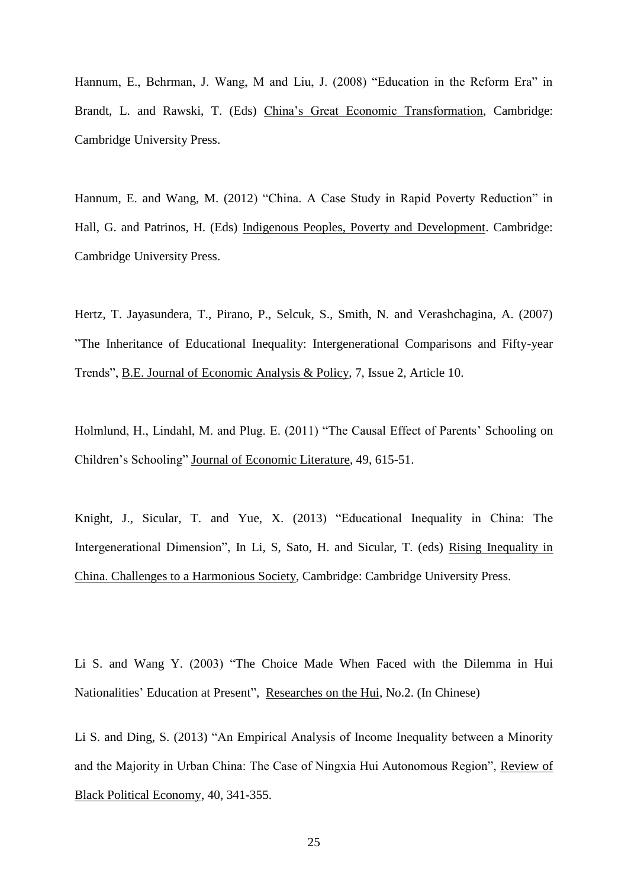Hannum, E., Behrman, J. Wang, M and Liu, J. (2008) "Education in the Reform Era" in Brandt, L. and Rawski, T. (Eds) China's Great Economic Transformation, Cambridge: Cambridge University Press.

Hannum, E. and Wang, M. (2012) "China. A Case Study in Rapid Poverty Reduction" in Hall, G. and Patrinos, H. (Eds) Indigenous Peoples, Poverty and Development. Cambridge: Cambridge University Press.

Hertz, T. Jayasundera, T., Pirano, P., Selcuk, S., Smith, N. and Verashchagina, A. (2007) "The Inheritance of Educational Inequality: Intergenerational Comparisons and Fifty-year Trends", B.E. Journal of Economic Analysis & Policy, 7, Issue 2, Article 10.

Holmlund, H., Lindahl, M. and Plug. E. (2011) "The Causal Effect of Parents' Schooling on Children's Schooling" Journal of Economic Literature, 49, 615-51.

Knight, J., Sicular, T. and Yue, X. (2013) "Educational Inequality in China: The Intergenerational Dimension", In Li, S, Sato, H. and Sicular, T. (eds) Rising Inequality in China. Challenges to a Harmonious Society, Cambridge: Cambridge University Press.

Li S. and Wang Y. (2003) "The Choice Made When Faced with the Dilemma in Hui Nationalities' Education at Present", Researches on the Hui, No.2. (In Chinese)

Li S. and Ding, S. (2013) "An Empirical Analysis of Income Inequality between a Minority and the Majority in Urban China: The Case of Ningxia Hui Autonomous Region", Review of Black Political Economy, 40, 341-355.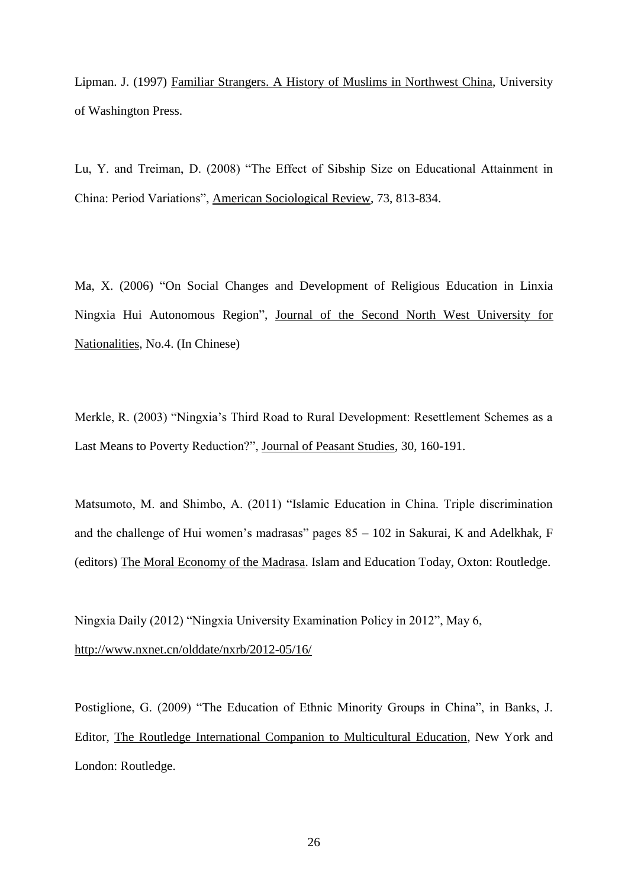Lipman. J. (1997) Familiar Strangers. A History of Muslims in Northwest China, University of Washington Press.

Lu, Y. and Treiman, D. (2008) "The Effect of Sibship Size on Educational Attainment in China: Period Variations", American Sociological Review, 73, 813-834.

Ma, X. (2006) "On Social Changes and Development of Religious Education in Linxia Ningxia Hui Autonomous Region", Journal of the Second North West University for Nationalities, No.4. (In Chinese)

Merkle, R. (2003) "Ningxia's Third Road to Rural Development: Resettlement Schemes as a Last Means to Poverty Reduction?", Journal of Peasant Studies, 30, 160-191.

Matsumoto, M. and Shimbo, A. (2011) "Islamic Education in China. Triple discrimination and the challenge of Hui women's madrasas" pages 85 – 102 in Sakurai, K and Adelkhak, F (editors) The Moral Economy of the Madrasa. Islam and Education Today, Oxton: Routledge.

Ningxia Daily (2012) "Ningxia University Examination Policy in 2012", May 6, <http://www.nxnet.cn/olddate/nxrb/2012-05/16/>

Postiglione, G. (2009) "The Education of Ethnic Minority Groups in China", in Banks, J. Editor, The Routledge International Companion to Multicultural Education, New York and London: Routledge.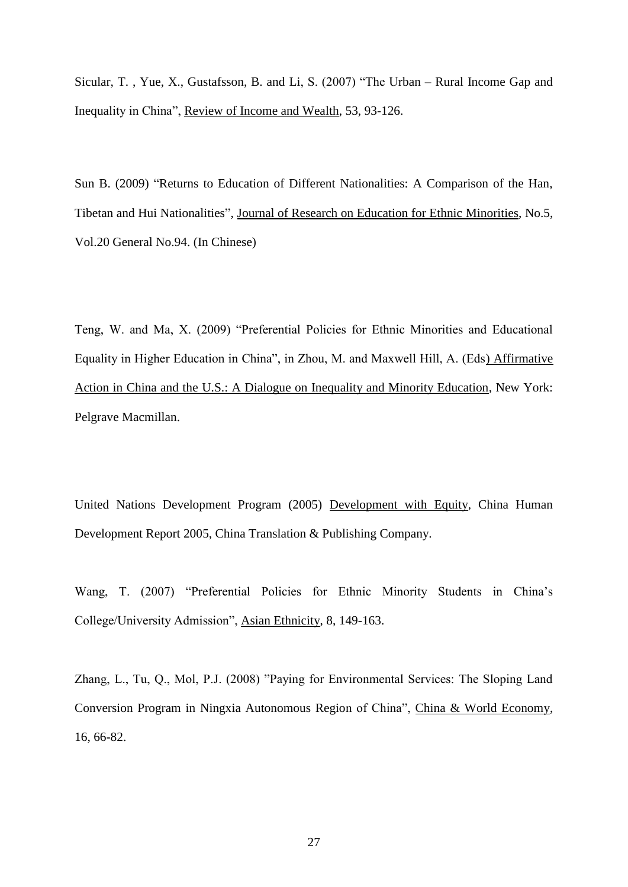Sicular, T. , Yue, X., Gustafsson, B. and Li, S. (2007) "The Urban – Rural Income Gap and Inequality in China", Review of Income and Wealth, 53, 93-126.

Sun B. (2009) "Returns to Education of Different Nationalities: A Comparison of the Han, Tibetan and Hui Nationalities", Journal of Research on Education for Ethnic Minorities, No.5, Vol.20 General No.94. (In Chinese)

Teng, W. and Ma, X. (2009) "Preferential Policies for Ethnic Minorities and Educational Equality in Higher Education in China", in Zhou, M. and Maxwell Hill, A. (Eds) Affirmative Action in China and the U.S.: A Dialogue on Inequality and Minority Education, New York: Pelgrave Macmillan.

United Nations Development Program (2005) Development with Equity, China Human Development Report 2005, China Translation & Publishing Company.

Wang, T. (2007) "Preferential Policies for Ethnic Minority Students in China's College/University Admission", Asian Ethnicity, 8, 149-163.

Zhang, L., Tu, Q., Mol, P.J. (2008) "Paying for Environmental Services: The Sloping Land Conversion Program in Ningxia Autonomous Region of China", China & World Economy, 16, 66-82.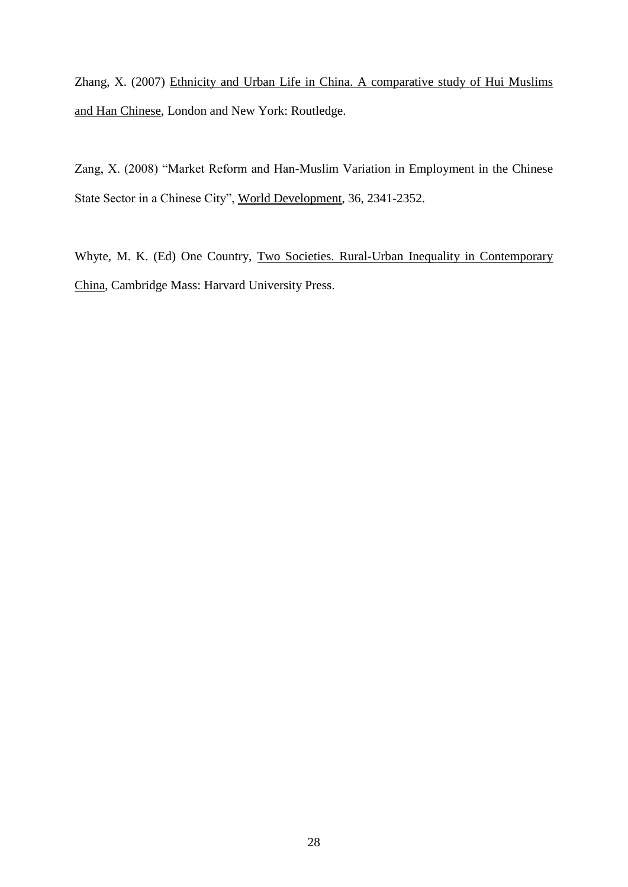Zhang, X. (2007) Ethnicity and Urban Life in China. A comparative study of Hui Muslims and Han Chinese, London and New York: Routledge.

Zang, X. (2008) "Market Reform and Han-Muslim Variation in Employment in the Chinese State Sector in a Chinese City", World Development, 36, 2341-2352.

Whyte, M. K. (Ed) One Country, Two Societies. Rural-Urban Inequality in Contemporary China, Cambridge Mass: Harvard University Press.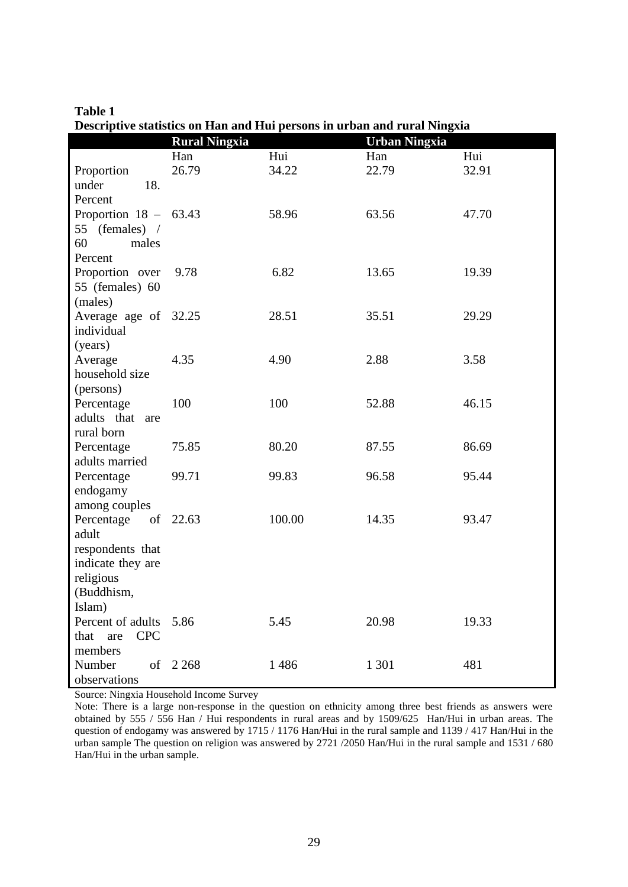#### **Table 1**

**Descriptive statistics on Han and Hui persons in urban and rural Ningxia** 

|                              | <b>Rural Ningxia</b> |        | <b>Urban Ningxia</b> |       |
|------------------------------|----------------------|--------|----------------------|-------|
|                              | Han                  | Hui    | Han                  | Hui   |
| Proportion                   | 26.79                | 34.22  | 22.79                | 32.91 |
| 18.<br>under                 |                      |        |                      |       |
| Percent                      |                      |        |                      |       |
| Proportion $18 - 63.43$      |                      | 58.96  | 63.56                | 47.70 |
| 55 (females) /               |                      |        |                      |       |
| 60<br>males                  |                      |        |                      |       |
| Percent                      |                      |        |                      |       |
| Proportion over              | 9.78                 | 6.82   | 13.65                | 19.39 |
| 55 (females) 60              |                      |        |                      |       |
| (males)                      |                      |        |                      |       |
| Average age of 32.25         |                      | 28.51  | 35.51                | 29.29 |
| individual                   |                      |        |                      |       |
| (years)                      |                      |        |                      |       |
| Average                      | 4.35                 | 4.90   | 2.88                 | 3.58  |
| household size               |                      |        |                      |       |
| (persons)                    |                      |        |                      |       |
| Percentage                   | 100                  | 100    | 52.88                | 46.15 |
| adults that<br>are           |                      |        |                      |       |
| rural born                   |                      |        |                      |       |
| Percentage<br>adults married | 75.85                | 80.20  | 87.55                | 86.69 |
|                              | 99.71                | 99.83  | 96.58                | 95.44 |
| Percentage<br>endogamy       |                      |        |                      |       |
| among couples                |                      |        |                      |       |
| Percentage                   | of 22.63             | 100.00 | 14.35                | 93.47 |
| adult                        |                      |        |                      |       |
| respondents that             |                      |        |                      |       |
| indicate they are            |                      |        |                      |       |
| religious                    |                      |        |                      |       |
| (Buddhism,                   |                      |        |                      |       |
| Islam)                       |                      |        |                      |       |
| Percent of adults 5.86       |                      | 5.45   | 20.98                | 19.33 |
| <b>CPC</b><br>that<br>are    |                      |        |                      |       |
| members                      |                      |        |                      |       |
| Number                       | of 2 2 6 8           | 1486   | 1 3 0 1              | 481   |
| observations                 |                      |        |                      |       |

Source: Ningxia Household Income Survey

Note: There is a large non-response in the question on ethnicity among three best friends as answers were obtained by 555 / 556 Han / Hui respondents in rural areas and by 1509/625 Han/Hui in urban areas. The question of endogamy was answered by 1715 / 1176 Han/Hui in the rural sample and 1139 / 417 Han/Hui in the urban sample The question on religion was answered by 2721 /2050 Han/Hui in the rural sample and 1531 / 680 Han/Hui in the urban sample.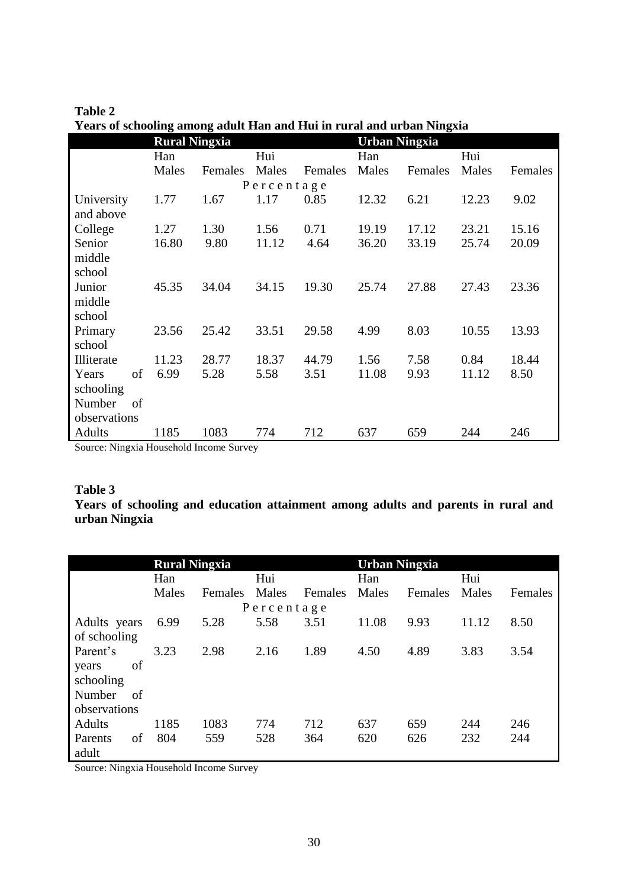|                         | o<br><b>Rural Ningxia</b> | o       |            |         | o<br><b>Urban Ningxia</b> |         |       |         |
|-------------------------|---------------------------|---------|------------|---------|---------------------------|---------|-------|---------|
|                         | Han                       |         | Hui        |         | Han                       |         | Hui   |         |
|                         | Males                     | Females | Males      | Females | Males                     | Females | Males | Females |
|                         |                           |         | Percentage |         |                           |         |       |         |
| University<br>and above | 1.77                      | 1.67    | 1.17       | 0.85    | 12.32                     | 6.21    | 12.23 | 9.02    |
| College                 | 1.27                      | 1.30    | 1.56       | 0.71    | 19.19                     | 17.12   | 23.21 | 15.16   |
| Senior                  | 16.80                     | 9.80    | 11.12      | 4.64    | 36.20                     | 33.19   | 25.74 | 20.09   |
| middle<br>school        |                           |         |            |         |                           |         |       |         |
| Junior                  | 45.35                     | 34.04   | 34.15      | 19.30   | 25.74                     | 27.88   | 27.43 | 23.36   |
| middle<br>school        |                           |         |            |         |                           |         |       |         |
| Primary                 | 23.56                     | 25.42   | 33.51      | 29.58   | 4.99                      | 8.03    | 10.55 | 13.93   |
| school                  |                           |         |            |         |                           |         |       |         |
| Illiterate              | 11.23                     | 28.77   | 18.37      | 44.79   | 1.56                      | 7.58    | 0.84  | 18.44   |
| of<br>Years             | 6.99                      | 5.28    | 5.58       | 3.51    | 11.08                     | 9.93    | 11.12 | 8.50    |
| schooling               |                           |         |            |         |                           |         |       |         |
| Number<br>of            |                           |         |            |         |                           |         |       |         |
| observations            |                           |         |            |         |                           |         |       |         |
| <b>Adults</b>           | 1185                      | 1083    | 774        | 712     | 637                       | 659     | 244   | 246     |

**Table 2 Years of schooling among adult Han and Hui in rural and urban Ningxia** 

Source: Ningxia Household Income Survey

#### **Table 3**

### **Years of schooling and education attainment among adults and parents in rural and urban Ningxia**

|               | <b>Rural Ningxia</b> |                |            |         | <b>Urban Ningxia</b> |                |       |                |
|---------------|----------------------|----------------|------------|---------|----------------------|----------------|-------|----------------|
|               | Han                  |                | Hui        |         | Han                  |                | Hui   |                |
|               | Males                | <b>Females</b> | Males      | Females | Males                | <b>Females</b> | Males | <b>Females</b> |
|               |                      |                | Percentage |         |                      |                |       |                |
| Adults years  | 6.99                 | 5.28           | 5.58       | 3.51    | 11.08                | 9.93           | 11.12 | 8.50           |
| of schooling  |                      |                |            |         |                      |                |       |                |
| Parent's      | 3.23                 | 2.98           | 2.16       | 1.89    | 4.50                 | 4.89           | 3.83  | 3.54           |
| of<br>years   |                      |                |            |         |                      |                |       |                |
| schooling     |                      |                |            |         |                      |                |       |                |
| of<br>Number  |                      |                |            |         |                      |                |       |                |
| observations  |                      |                |            |         |                      |                |       |                |
| <b>Adults</b> | 1185                 | 1083           | 774        | 712     | 637                  | 659            | 244   | 246            |
| of<br>Parents | 804                  | 559            | 528        | 364     | 620                  | 626            | 232   | 244            |
| adult         |                      |                |            |         |                      |                |       |                |

Source: Ningxia Household Income Survey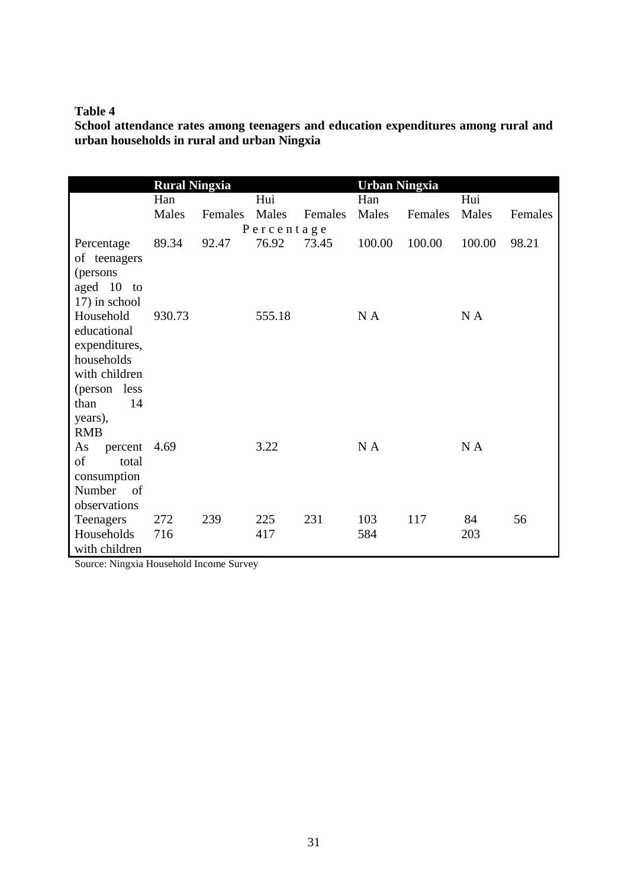### **Table 4**

**School attendance rates among teenagers and education expenditures among rural and urban households in rural and urban Ningxia**

|                                                                                                                                    | <b>Rural Ningxia</b> |         |            |         | <b>Urban Ningxia</b> |         |           |         |
|------------------------------------------------------------------------------------------------------------------------------------|----------------------|---------|------------|---------|----------------------|---------|-----------|---------|
|                                                                                                                                    | Han                  |         | Hui        |         | Han                  |         | Hui       |         |
|                                                                                                                                    | Males                | Females | Males      | Females | Males                | Females | Males     | Females |
|                                                                                                                                    |                      |         | Percentage |         |                      |         |           |         |
| Percentage<br>of teenagers<br>(persons)<br>aged 10 to<br>17) in school                                                             | 89.34                | 92.47   | 76.92      | 73.45   | 100.00               | 100.00  | 100.00    | 98.21   |
| Household<br>educational<br>expenditures,<br>households<br>with children<br>less<br>(person<br>than<br>14<br>years),<br><b>RMB</b> | 930.73               |         | 555.18     |         | N A                  |         | N A       |         |
| percent 4.69<br>As<br>of<br>total<br>consumption<br>Number<br><sub>of</sub><br>observations                                        |                      |         | 3.22       |         | N A                  |         | N A       |         |
| Teenagers<br>Households<br>with children                                                                                           | 272<br>716           | 239     | 225<br>417 | 231     | 103<br>584           | 117     | 84<br>203 | 56      |

Source: Ningxia Household Income Survey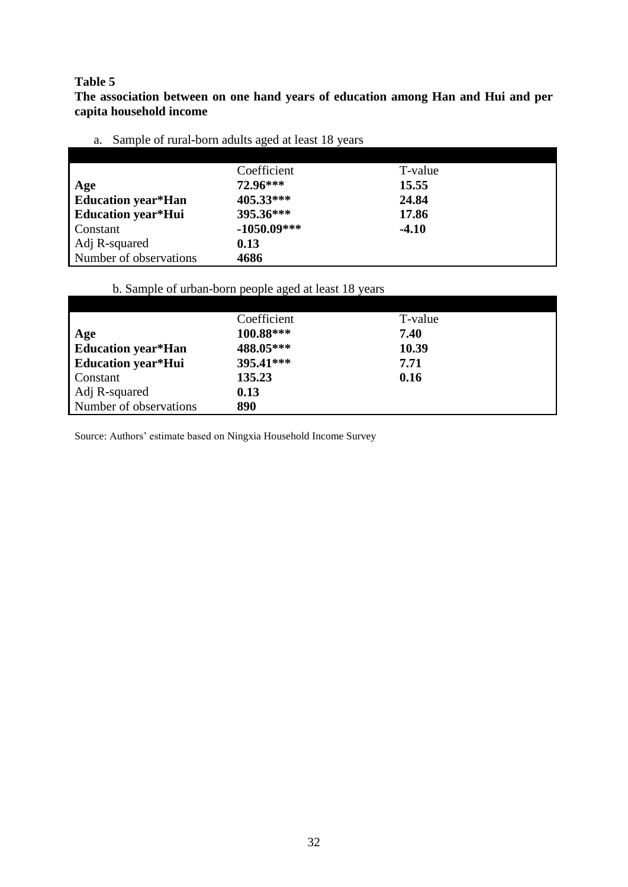### **Table 5**

# **The association between on one hand years of education among Han and Hui and per capita household income**

|                           | Coefficient   | T-value |  |  |  |  |  |
|---------------------------|---------------|---------|--|--|--|--|--|
| Age                       | $72.96***$    | 15.55   |  |  |  |  |  |
| <b>Education year*Han</b> | 405.33***     | 24.84   |  |  |  |  |  |
| <b>Education year*Hui</b> | 395.36***     | 17.86   |  |  |  |  |  |
| Constant                  | $-1050.09***$ | $-4.10$ |  |  |  |  |  |
| Adj R-squared             | 0.13          |         |  |  |  |  |  |
| Number of observations    | 4686          |         |  |  |  |  |  |

### a. Sample of rural-born adults aged at least 18 years

# b. Sample of urban-born people aged at least 18 years

|                           | Coefficient | T-value |
|---------------------------|-------------|---------|
| Age                       | $100.88***$ | 7.40    |
| <b>Education year*Han</b> | 488.05***   | 10.39   |
| <b>Education year*Hui</b> | 395.41***   | 7.71    |
| Constant                  | 135.23      | 0.16    |
| Adj R-squared             | 0.13        |         |
| Number of observations    | 890         |         |

Source: Authors' estimate based on Ningxia Household Income Survey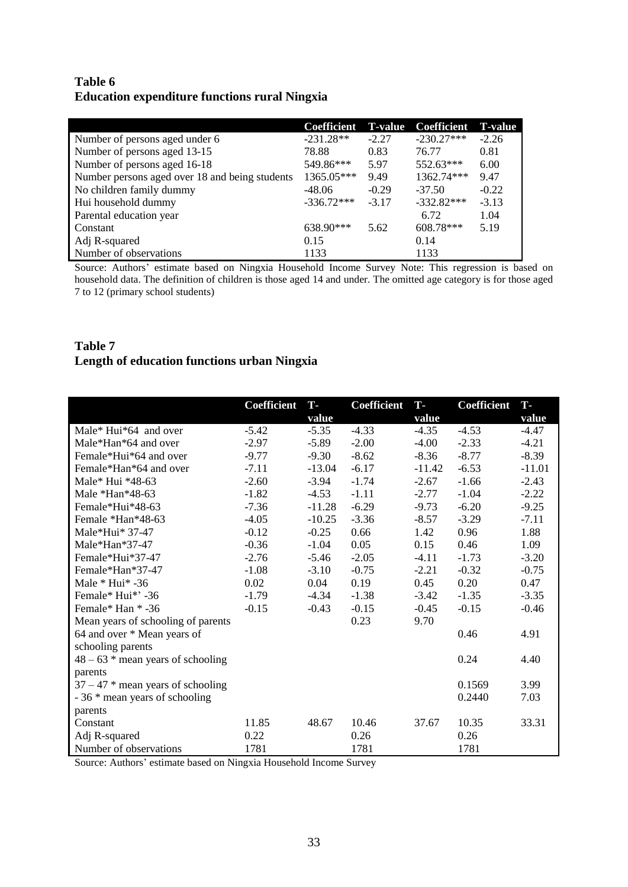### **Table 6 Education expenditure functions rural Ningxia**

|                                                | <b>Coefficient</b> | <b>T-value</b> | <b>Coefficient</b> | <b>T-value</b> |
|------------------------------------------------|--------------------|----------------|--------------------|----------------|
| Number of persons aged under 6                 | $-231.28**$        | $-2.27$        | $-230.27***$       | $-2.26$        |
| Number of persons aged 13-15                   | 78.88              | 0.83           | 76.77              | 0.81           |
| Number of persons aged 16-18                   | 549.86***          | 5.97           | 552.63***          | 6.00           |
| Number persons aged over 18 and being students | 1365.05***         | 9.49           | 1362.74***         | 9.47           |
| No children family dummy                       | -48.06             | $-0.29$        | $-37.50$           | $-0.22$        |
| Hui household dummy                            | $-336.72***$       | $-3.17$        | $-332.82***$       | $-3.13$        |
| Parental education year                        |                    |                | 6.72               | 1.04           |
| Constant                                       | 638.90***          | 5.62           | 608.78***          | 5.19           |
| Adj R-squared                                  | 0.15               |                | 0.14               |                |
| Number of observations                         | 1133               |                | 1133               |                |

Source: Authors' estimate based on Ningxia Household Income Survey Note: This regression is based on household data. The definition of children is those aged 14 and under. The omitted age category is for those aged 7 to 12 (primary school students)

# **Table 7 Length of education functions urban Ningxia**

|                                     | <b>Coefficient</b> | T-       | <b>Coefficient</b> | T-       | <b>Coefficient</b> | T-       |
|-------------------------------------|--------------------|----------|--------------------|----------|--------------------|----------|
|                                     |                    | value    |                    | value    |                    | value    |
| Male* Hui*64 and over               | $-5.42$            | $-5.35$  | $-4.33$            | $-4.35$  | $-4.53$            | -4.47    |
| Male*Han*64 and over                | $-2.97$            | $-5.89$  | $-2.00$            | $-4.00$  | $-2.33$            | $-4.21$  |
| Female*Hui*64 and over              | $-9.77$            | $-9.30$  | $-8.62$            | $-8.36$  | $-8.77$            | $-8.39$  |
| Female*Han*64 and over              | $-7.11$            | $-13.04$ | $-6.17$            | $-11.42$ | $-6.53$            | $-11.01$ |
| Male* Hui *48-63                    | $-2.60$            | $-3.94$  | $-1.74$            | $-2.67$  | $-1.66$            | $-2.43$  |
| Male *Han*48-63                     | $-1.82$            | $-4.53$  | $-1.11$            | $-2.77$  | $-1.04$            | $-2.22$  |
| Female*Hui*48-63                    | $-7.36$            | $-11.28$ | $-6.29$            | $-9.73$  | $-6.20$            | $-9.25$  |
| Female *Han*48-63                   | $-4.05$            | $-10.25$ | $-3.36$            | $-8.57$  | $-3.29$            | $-7.11$  |
| Male*Hui* 37-47                     | $-0.12$            | $-0.25$  | 0.66               | 1.42     | 0.96               | 1.88     |
| Male*Han*37-47                      | $-0.36$            | $-1.04$  | 0.05               | 0.15     | 0.46               | 1.09     |
| Female*Hui*37-47                    | $-2.76$            | $-5.46$  | $-2.05$            | $-4.11$  | $-1.73$            | $-3.20$  |
| Female*Han*37-47                    | $-1.08$            | $-3.10$  | $-0.75$            | $-2.21$  | $-0.32$            | $-0.75$  |
| Male $*$ Hui $*$ -36                | 0.02               | 0.04     | 0.19               | 0.45     | 0.20               | 0.47     |
| Female* Hui*' -36                   | $-1.79$            | $-4.34$  | $-1.38$            | $-3.42$  | $-1.35$            | $-3.35$  |
| Female* Han *-36                    | $-0.15$            | $-0.43$  | $-0.15$            | $-0.45$  | $-0.15$            | $-0.46$  |
| Mean years of schooling of parents  |                    |          | 0.23               | 9.70     |                    |          |
| 64 and over * Mean years of         |                    |          |                    |          | 0.46               | 4.91     |
| schooling parents                   |                    |          |                    |          |                    |          |
| $48 - 63$ * mean years of schooling |                    |          |                    |          | 0.24               | 4.40     |
| parents                             |                    |          |                    |          |                    |          |
| $37 - 47$ * mean years of schooling |                    |          |                    |          | 0.1569             | 3.99     |
| - 36 * mean years of schooling      |                    |          |                    |          | 0.2440             | 7.03     |
| parents                             |                    |          |                    |          |                    |          |
| Constant                            | 11.85              | 48.67    | 10.46              | 37.67    | 10.35              | 33.31    |
| Adj R-squared                       | 0.22               |          | 0.26               |          | 0.26               |          |
| Number of observations              | 1781               |          | 1781               |          | 1781               |          |

Source: Authors' estimate based on Ningxia Household Income Survey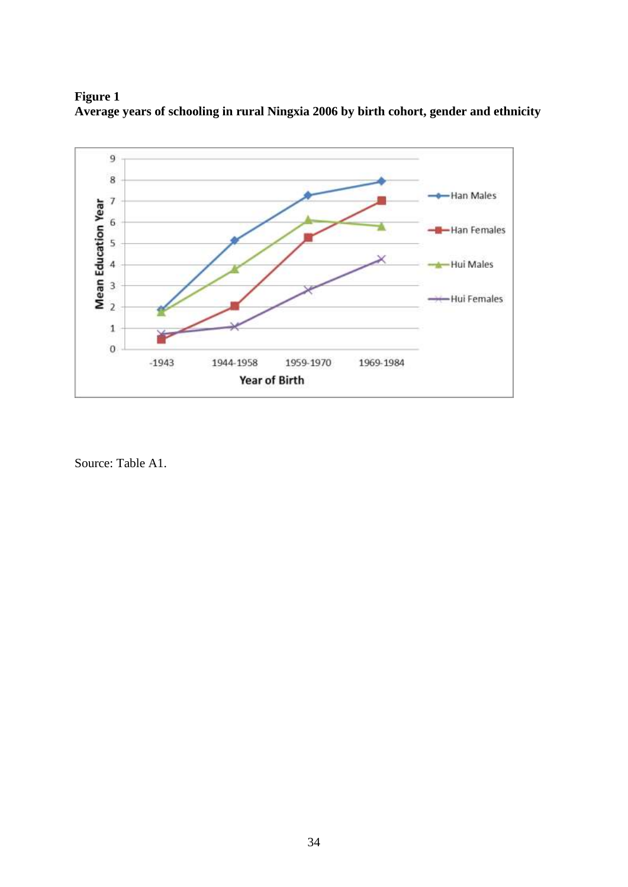

**Figure 1 Average years of schooling in rural Ningxia 2006 by birth cohort, gender and ethnicity**

Source: Table A1.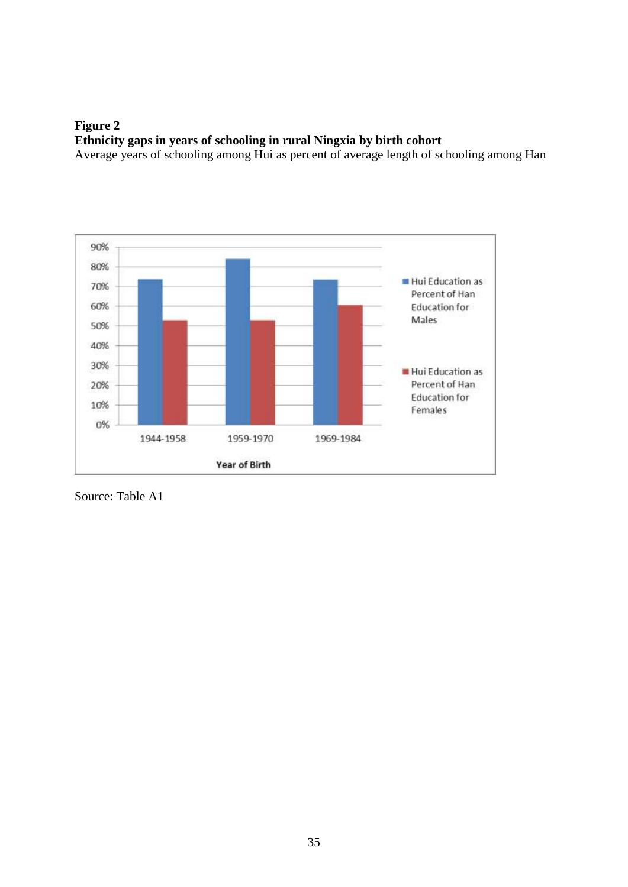# **Figure 2 Ethnicity gaps in years of schooling in rural Ningxia by birth cohort** Average years of schooling among Hui as percent of average length of schooling among Han

90% 80% Hui Education as 70% Percent of Han 60% **Education for** Males 50% 40% 30% Hui Education as Percent of Han 20% **Education for** 10% Females 0% 1944-1958 1959-1970 1969-1984 Year of Birth

Source: Table A1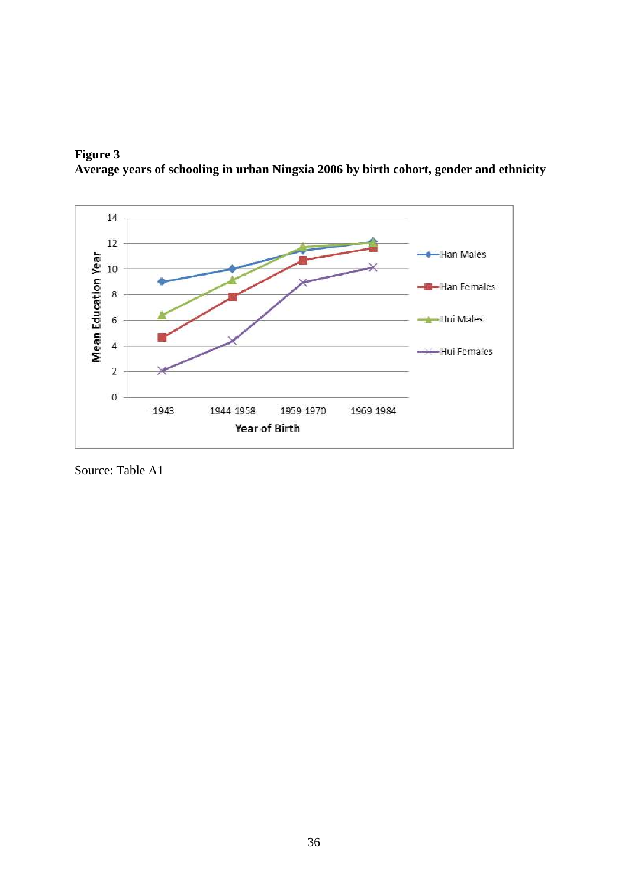

**Figure 3 Average years of schooling in urban Ningxia 2006 by birth cohort, gender and ethnicity** 

Source: Table A1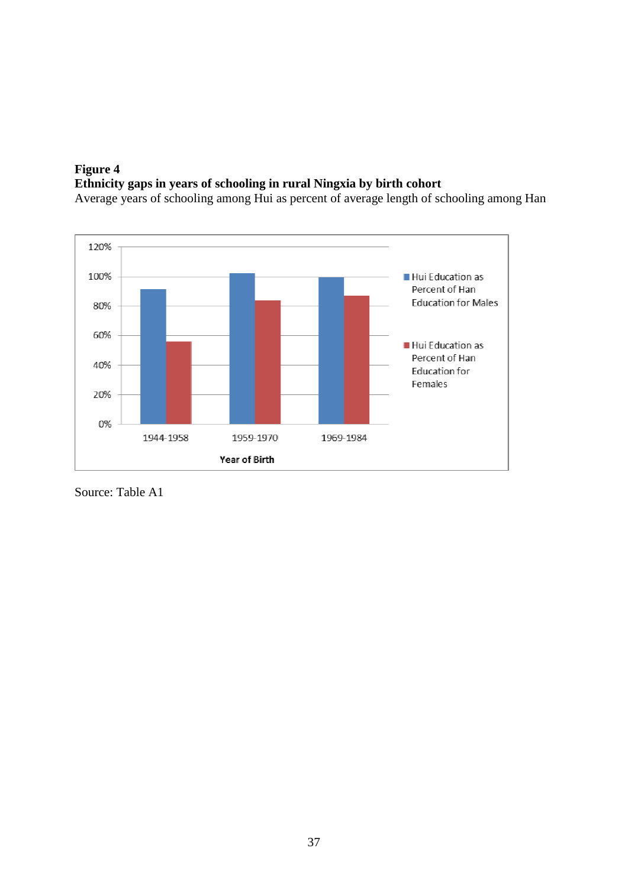# **Figure 4 Ethnicity gaps in years of schooling in rural Ningxia by birth cohort**

Average years of schooling among Hui as percent of average length of schooling among Han



Source: Table A1